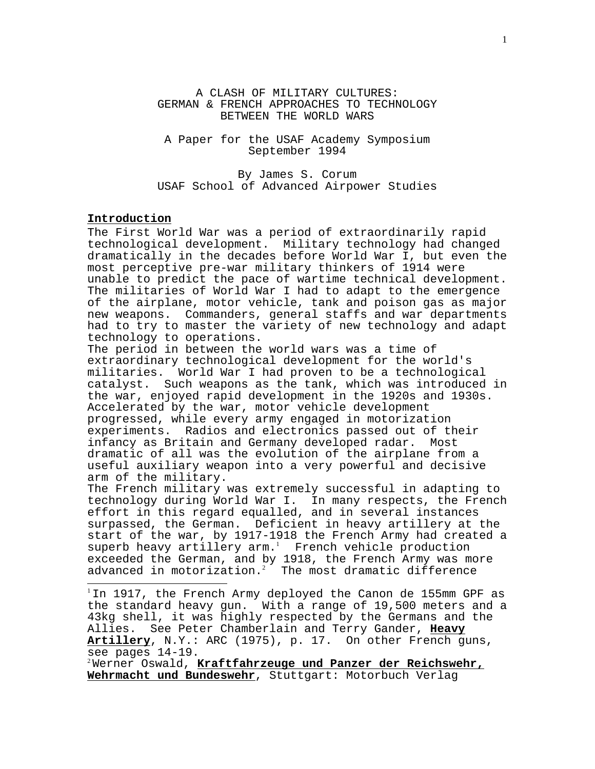A CLASH OF MILITARY CULTURES: GERMAN & FRENCH APPROACHES TO TECHNOLOGY BETWEEN THE WORLD WARS

A Paper for the USAF Academy Symposium September 1994

By James S. Corum USAF School of Advanced Airpower Studies

# **Introduction**

 $\overline{a}$ 

The First World War was a period of extraordinarily rapid technological development. Military technology had changed dramatically in the decades before World War  $\overline{I}$ , but even the most perceptive pre-war military thinkers of 1914 were unable to predict the pace of wartime technical development. The militaries of World War I had to adapt to the emergence of the airplane, motor vehicle, tank and poison gas as major new weapons. Commanders, general staffs and war departments had to try to master the variety of new technology and adapt technology to operations.

The period in between the world wars was a time of extraordinary technological development for the world's militaries. World War I had proven to be a technological catalyst. Such weapons as the tank, which was introduced in the war, enjoyed rapid development in the 1920s and 1930s. Accelerated by the war, motor vehicle development progressed, while every army engaged in motorization experiments. Radios and electronics passed out of their infancy as Britain and Germany developed radar. Most dramatic of all was the evolution of the airplane from a useful auxiliary weapon into a very powerful and decisive arm of the military.

The French military was extremely successful in adapting to technology during World War I. In many respects, the French effort in this regard equalled, and in several instances surpassed, the German. Deficient in heavy artillery at the start of the war, by 1917-1918 the French Army had created a superb heavy artillery  $arm.^1$  French vehicle production exceeded the German, and by 1918, the French Army was more advanced in motorization. $^{2}$  The most dramatic difference

<sup>1</sup> In 1917, the French Army deployed the Canon de 155mm GPF as the standard heavy gun. With a range of 19,500 meters and a 43kg shell, it was highly respected by the Germans and the Allies. See Peter Chamberlain and Terry Gander, **Heavy Artillery**, N.Y.: ARC (1975), p. 17. On other French guns, see pages 14-19.

<sup>2</sup>Werner Oswald, **Kraftfahrzeuge und Panzer der Reichswehr, Wehrmacht und Bundeswehr**, Stuttgart: Motorbuch Verlag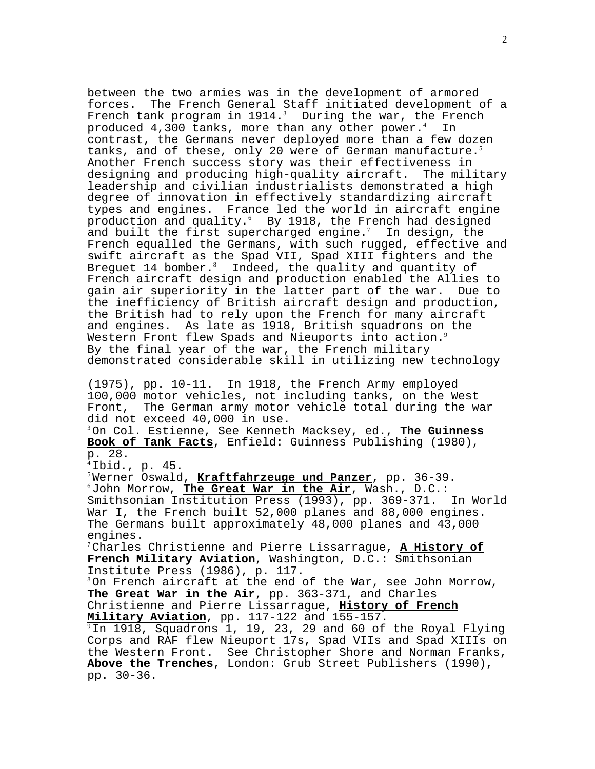between the two armies was in the development of armored forces. The French General Staff initiated development of a French tank program in  $1914.^3$  During the war, the French produced  $4,300$  tanks, more than any other power.<sup>4</sup> In contrast, the Germans never deployed more than a few dozen tanks, and of these, only 20 were of German manufacture.<sup>5</sup> Another French success story was their effectiveness in designing and producing high-quality aircraft. The military leadership and civilian industrialists demonstrated a high degree of innovation in effectively standardizing aircraft types and engines. France led the world in aircraft engine production and quality.<sup>6</sup> By 1918, the French had designed and built the first supercharged engine.<sup>7</sup> In design, the French equalled the Germans, with such rugged, effective and swift aircraft as the Spad VII, Spad XIII fighters and the Breguet 14 bomber. $8$  Indeed, the quality and quantity of French aircraft design and production enabled the Allies to gain air superiority in the latter part of the war. Due to the inefficiency of British aircraft design and production, the British had to rely upon the French for many aircraft and engines. As late as 1918, British squadrons on the Western Front flew Spads and Nieuports into action.<sup>9</sup> By the final year of the war, the French military demonstrated considerable skill in utilizing new technology

(1975), pp. 10-11. In 1918, the French Army employed 100,000 motor vehicles, not including tanks, on the West Front, The German army motor vehicle total during the war did not exceed 40,000 in use.

<sup>3</sup>On Col. Estienne, See Kenneth Macksey, ed., **The Guinness Book of Tank Facts**, Enfield: Guinness Publishing (1980), p. 28.

 $<sup>4</sup>$  Ibid., p. 45.</sup>

 $\overline{a}$ 

<sup>5</sup>Werner Oswald, <mark>Kraftfahrzeuge und Panzer</mark>, pp. 36-39.<br><sup>6</sup>John Morrow, **The Great War in the Air**, Wash., D.C.: Smithsonian Institution Press (1993), pp. 369-371. In World War I, the French built 52,000 planes and 88,000 engines. The Germans built approximately 48,000 planes and 43,000 engines.

<sup>7</sup>Charles Christienne and Pierre Lissarrague, **A History of French Military Aviation**, Washington, D.C.: Smithsonian Institute Press (1986), p. 117.

 $8$ On French aircraft at the end of the War, see John Morrow, **The Great War in the Air**, pp. 363-371, and Charles

Christienne and Pierre Lissarrague, **History of French**<br>Military Aviation, pp. 117-122 and 155-157.

<sup>9</sup>In 1918, Squadrons 1, 19, 23, 29 and 60 of the Royal Flying Corps and RAF flew Nieuport 17s, Spad VIIs and Spad XIIIs on the Western Front. See Christopher Shore and Norman Franks, **Above the Trenches**, London: Grub Street Publishers (1990), pp. 30-36.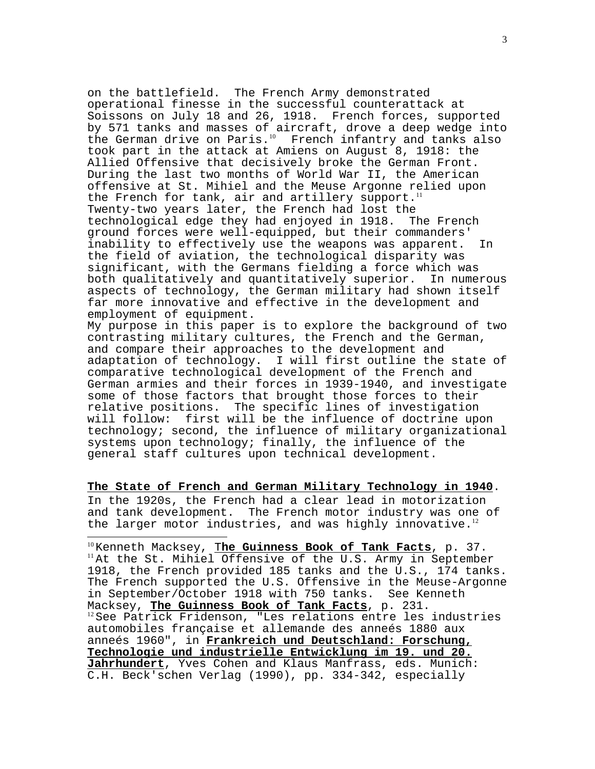on the battlefield. The French Army demonstrated operational finesse in the successful counterattack at Soissons on July 18 and 26, 1918. French forces, supported by 571 tanks and masses of aircraft, drove a deep wedge into the German drive on Paris.<sup>10</sup> French infantry and tanks also took part in the attack at Amiens on August 8, 1918: the Allied Offensive that decisively broke the German Front. During the last two months of World War II, the American offensive at St. Mihiel and the Meuse Argonne relied upon the French for tank, air and artillery support.<sup>11</sup> Twenty-two years later, the French had lost the technological edge they had enjoyed in 1918. The French ground forces were well-equipped, but their commanders' inability to effectively use the weapons was apparent. In the field of aviation, the technological disparity was significant, with the Germans fielding a force which was both qualitatively and quantitatively superior. In numerous aspects of technology, the German military had shown itself far more innovative and effective in the development and employment of equipment.

My purpose in this paper is to explore the background of two contrasting military cultures, the French and the German, and compare their approaches to the development and adaptation of technology. I will first outline the state of comparative technological development of the French and German armies and their forces in 1939-1940, and investigate some of those factors that brought those forces to their relative positions. The specific lines of investigation will follow: first will be the influence of doctrine upon technology; second, the influence of military organizational systems upon technology; finally, the influence of the general staff cultures upon technical development.

**The State of French and German Military Technology in 1940**. In the 1920s, the French had a clear lead in motorization and tank development. The French motor industry was one of the larger motor industries, and was highly innovative. $12$ 

 $\overline{a}$ 

<sup>10</sup>Kenneth Macksey, <mark>The Guinness Book of Tank Facts</mark>, p. 37.<br><sup>11</sup>At the St. Mihiel Offensive of the U.S. Army in September 1918, the French provided 185 tanks and the U.S., 174 tanks. The French supported the U.S. Offensive in the Meuse-Argonne in September/October 1918 with 750 tanks. See Kenneth<br>Macksey, The Guinness Book of Tank Facts, p. 231. <sup>12</sup> See Patrick Fridenson, "Les relations entre les industries automobiles française et allemande des anneés 1880 aux anneés 1960", in **Frankreich und Deutschland: Forschung, Technologie und industrielle Entwicklung im 19. und 20. Jahrhundert**, Yves Cohen and Klaus Manfrass, eds. Munich: C.H. Beck'schen Verlag (1990), pp. 334-342, especially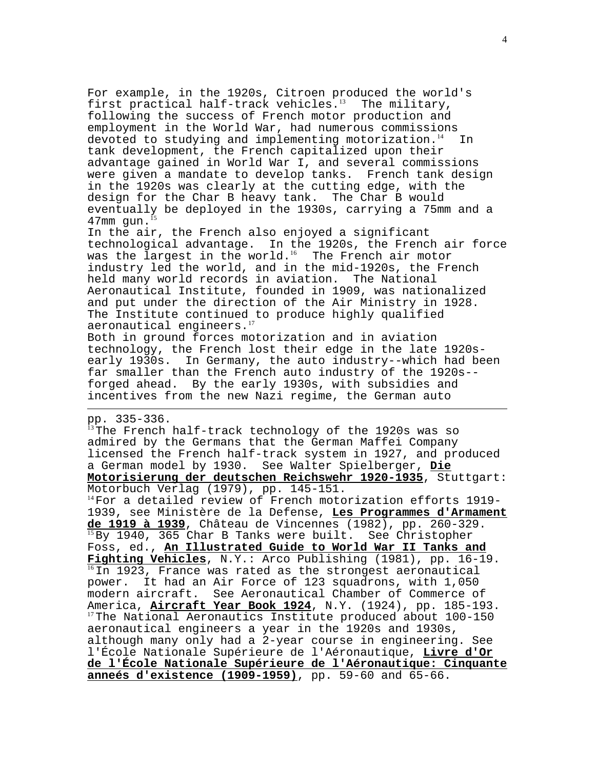For example, in the 1920s, Citroen produced the world's first practical half-track vehicles.<sup>13</sup> The military, following the success of French motor production and employment in the World War, had numerous commissions devoted to studying and implementing motorization. $14$  In tank development, the French capitalized upon their advantage gained in World War I, and several commissions were given a mandate to develop tanks. French tank design in the 1920s was clearly at the cutting edge, with the design for the Char B heavy tank. The Char B would eventually be deployed in the 1930s, carrying a 75mm and a  $47$ mm gun. $^{15}$ 

In the air, the French also enjoyed a significant technological advantage. In the 1920s, the French air force was the largest in the world.<sup>16</sup> The French air motor industry led the world, and in the mid-1920s, the French held many world records in aviation. The National Aeronautical Institute, founded in 1909, was nationalized and put under the direction of the Air Ministry in 1928. The Institute continued to produce highly qualified aeronautical engineers.<sup>17</sup>

Both in ground forces motorization and in aviation technology, the French lost their edge in the late 1920searly 1930s. In Germany, the auto industry--which had been far smaller than the French auto industry of the 1920s- forged ahead. By the early 1930s, with subsidies and incentives from the new Nazi regime, the German auto

# pp. 335-336.

 $\overline{a}$ 

<sup>13</sup>The French half-track technology of the 1920s was so admired by the Germans that the German Maffei Company licensed the French half-track system in 1927, and produced a German model by 1930. See Walter Spielberger, **Die Motorisierung der deutschen Reichswehr 1920-1935**, Stuttgart: Motorbuch Verlag (1979), pp. 145-151. <sup>14</sup>For a detailed review of French motorization efforts 1919- 1939, see Ministère de la Defense, **Les Programmes d'Armament** <sup>15</sup> By 1940, 365 Char B Tanks were built. See Christopher Foss, ed., **An Illustrated Guide to World War II Tanks and** Fighting Vehicles, N.Y.: Arco Publishing (1981), pp. 16-19.<br><sup>16</sup>In 1923, France was rated as the strongest aeronautical power. It had an Air Force of 123 squadrons, with 1,050 modern aircraft. See Aeronautical Chamber of Commerce of<br>America, Aircraft Year Book 1924, N.Y. (1924), pp. 185-193. <sup>17</sup>The National Aeronautics Institute produced about 100-150 aeronautical engineers a year in the 1920s and 1930s, although many only had a 2-year course in engineering. See l'École Nationale Supérieure de l'Aéronautique, **Livre d'Or de l'École Nationale Supérieure de l'Aéronautique: Cinquante anneés d'existence (1909-1959)**, pp. 59-60 and 65-66.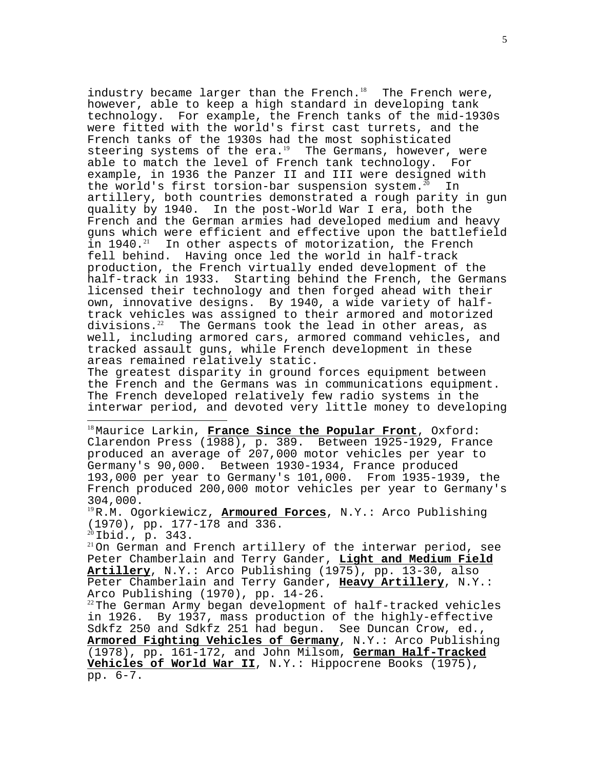industry became larger than the French.<sup>18</sup> The French were, however, able to keep a high standard in developing tank technology. For example, the French tanks of the mid-1930s were fitted with the world's first cast turrets, and the French tanks of the 1930s had the most sophisticated steering systems of the era.<sup>19</sup> The Germans, however, were able to match the level of French tank technology. For example, in 1936 the Panzer II and III were designed with<br>the world's first torsion-bar suspension system.<sup>20</sup> In the world's first torsion-bar suspension system.<sup>20</sup> artillery, both countries demonstrated a rough parity in gun quality by 1940. In the post-World War I era, both the French and the German armies had developed medium and heavy guns which were efficient and effective upon the battlefield<br>in 1940.<sup>21</sup> In other aspects of motorization, the French In other aspects of motorization, the French fell behind. Having once led the world in half-track production, the French virtually ended development of the half-track in 1933. Starting behind the French, the Germans licensed their technology and then forged ahead with their own, innovative designs. By 1940, a wide variety of halftrack vehicles was assigned to their armored and motorized<br>divisions.<sup>22</sup> The Germans took the lead in other areas, as The Germans took the lead in other areas, as well, including armored cars, armored command vehicles, and tracked assault guns, while French development in these areas remained relatively static.

The greatest disparity in ground forces equipment between the French and the Germans was in communications equipment. The French developed relatively few radio systems in the interwar period, and devoted very little money to developing

<sup>18</sup>Maurice Larkin, **France Since the Popular Front**, Oxford: Clarendon Press (1988), p. 389. Between 1925-1929, France produced an average of 207,000 motor vehicles per year to Germany's 90,000. Between 1930-1934, France produced 193,000 per year to Germany's 101,000. From 1935-1939, the French produced 200,000 motor vehicles per year to Germany's 304,000.

<sup>19</sup>R.M. Ogorkiewicz, **Armoured Forces**, N.Y.: Arco Publishing  $(1970)$ , pp. 177-178 and 336.<br><sup>20</sup>Ibid., p. 343.

 $\overline{a}$ 

 $21$ On German and French artillery of the interwar period, see Peter Chamberlain and Terry Gander, **Light and Medium Field Artillery**, N.Y.: Arco Publishing (1975), pp. 13-30, also Peter Chamberlain and Terry Gander, **Heavy Artillery**, N.Y.: Arco Publishing (1970), pp. 14-26.

 $22$ The German Army began development of half-tracked vehicles in 1926. By 1937, mass production of the highly-effective Sdkfz 250 and Sdkfz 251 had begun. See Duncan Crow, ed., **Armored Fighting Vehicles of Germany**, N.Y.: Arco Publishing (1978), pp. 161-172, and John Milsom, **German Half-Tracked Vehicles of World War II**, N.Y.: Hippocrene Books (1975), pp. 6-7.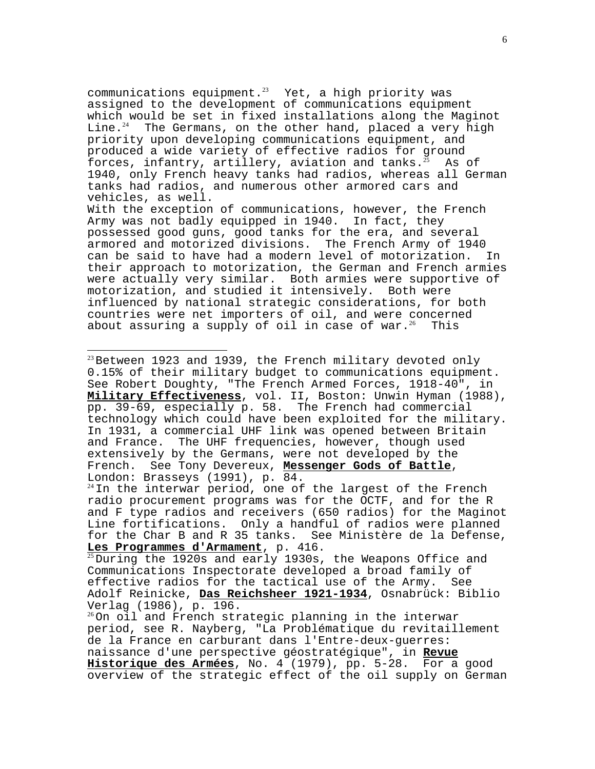communications equipment.<sup>23</sup> Yet, a high priority was assigned to the development of communications equipment which would be set in fixed installations along the Maginot Line. $^{24}$  The Germans, on the other hand, placed a very high priority upon developing communications equipment, and produced a wide variety of effective radios for ground forces, infantry, artillery, aviation and tanks.<sup>25</sup> As of 1940, only French heavy tanks had radios, whereas all German tanks had radios, and numerous other armored cars and vehicles, as well.

With the exception of communications, however, the French Army was not badly equipped in 1940. In fact, they possessed good guns, good tanks for the era, and several armored and motorized divisions. The French Army of 1940 can be said to have had a modern level of motorization. In their approach to motorization, the German and French armies were actually very similar. Both armies were supportive of motorization, and studied it intensively. Both were influenced by national strategic considerations, for both countries were net importers of oil, and were concerned about assuring a supply of oil in case of war.<sup>26</sup> This

 $^{23}$ Between 1923 and 1939, the French military devoted only 0.15% of their military budget to communications equipment. See Robert Doughty, "The French Armed Forces, 1918-40", in **Military Effectiveness**, vol. II, Boston: Unwin Hyman (1988), pp. 39-69, especially p. 58. The French had commercial technology which could have been exploited for the military. In 1931, a commercial UHF link was opened between Britain and France. The UHF frequencies, however, though used extensively by the Germans, were not developed by the French. See Tony Devereux, **Messenger Gods of Battle**, London: Brasseys (1991), p. 84.

 $\overline{a}$ 

 $24$ In the interwar period, one of the largest of the French radio procurement programs was for the OCTF, and for the R and F type radios and receivers (650 radios) for the Maginot Line fortifications. Only a handful of radios were planned for the Char B and R 35 tanks. See Ministère de la Defense,<br>Les Programmes d'Armament, p. 416.

<sup>25</sup> During the 1920s and early 1930s, the Weapons Office and Communications Inspectorate developed a broad family of effective radios for the tactical use of the Army. See Adolf Reinicke, **Das Reichsheer 1921-1934**, Osnabrück: Biblio Verlag (1986), p. 196.

 $^{26}$ On oil and French strategic planning in the interwar period, see R. Nayberg, "La Problématique du revitaillement de la France en carburant dans l'Entre-deux-guerres: naissance d'une perspective géostratégique", in **Revue Historique des Armées**, No. 4 (1979), pp. 5-28. For a good overview of the strategic effect of the oil supply on German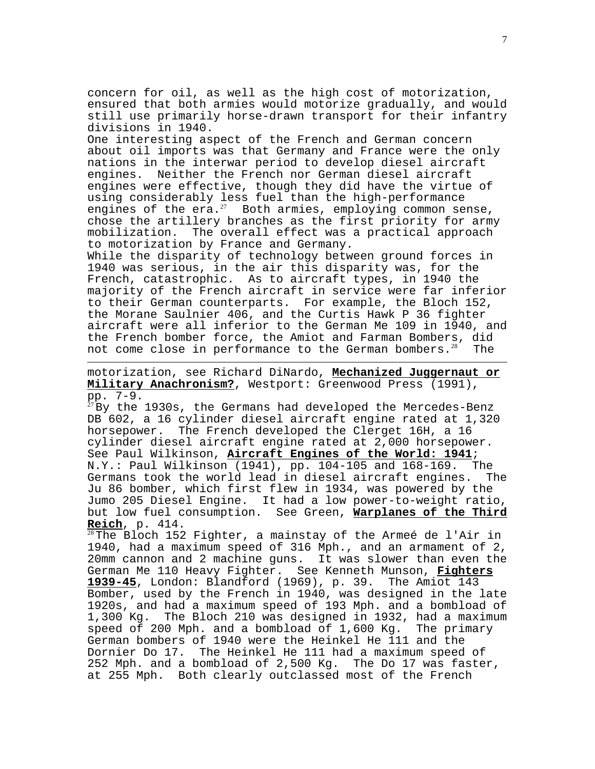concern for oil, as well as the high cost of motorization, ensured that both armies would motorize gradually, and would still use primarily horse-drawn transport for their infantry divisions in 1940.

One interesting aspect of the French and German concern about oil imports was that Germany and France were the only nations in the interwar period to develop diesel aircraft engines. Neither the French nor German diesel aircraft engines were effective, though they did have the virtue of using considerably less fuel than the high-performance engines of the  $era.^{27}$  Both armies, employing common sense, chose the artillery branches as the first priority for army mobilization. The overall effect was a practical approach to motorization by France and Germany.

While the disparity of technology between ground forces in 1940 was serious, in the air this disparity was, for the French, catastrophic. As to aircraft types, in 1940 the majority of the French aircraft in service were far inferior to their German counterparts. For example, the Bloch 152, the Morane Saulnier 406, and the Curtis Hawk P 36 fighter aircraft were all inferior to the German Me 109 in 1940, and the French bomber force, the Amiot and Farman Bombers, did not come close in performance to the German bombers. $28$  The

motorization, see Richard DiNardo, **Mechanized Juggernaut or Military Anachronism?**, Westport: Greenwood Press (1991), pp. 7-9.

 $\overline{a}$ 

 $^{27}$ By the  $1930s$ , the Germans had developed the Mercedes-Benz DB 602, a 16 cylinder diesel aircraft engine rated at 1,320 horsepower. The French developed the Clerget 16H, a 16 cylinder diesel aircraft engine rated at 2,000 horsepower. See Paul Wilkinson, **Aircraft Engines of the World: 1941**; N.Y.: Paul Wilkinson (1941), pp. 104-105 and 168-169. The Germans took the world lead in diesel aircraft engines. The Ju 86 bomber, which first flew in 1934, was powered by the Jumo 205 Diesel Engine. It had a low power-to-weight ratio, but low fuel consumption. See Green, **Warplanes of the Third**

<sup>28</sup>The Bloch 152 Fighter, a mainstay of the Armeé de l'Air in 1940, had a maximum speed of 316 Mph., and an armament of 2, 20mm cannon and 2 machine guns. It was slower than even the German Me 110 Heavy Fighter. See Kenneth Munson, **Fighters 1939-45**, London: Blandford (1969), p. 39. The Amiot 143 Bomber, used by the French in 1940, was designed in the late 1920s, and had a maximum speed of 193 Mph. and a bombload of 1,300 Kg. The Bloch 210 was designed in 1932, had a maximum speed of 200 Mph. and a bombload of 1,600 Kg. The primary German bombers of 1940 were the Heinkel He 111 and the Dornier Do 17. The Heinkel He 111 had a maximum speed of 252 Mph. and a bombload of 2,500 Kg. The Do 17 was faster, at 255 Mph. Both clearly outclassed most of the French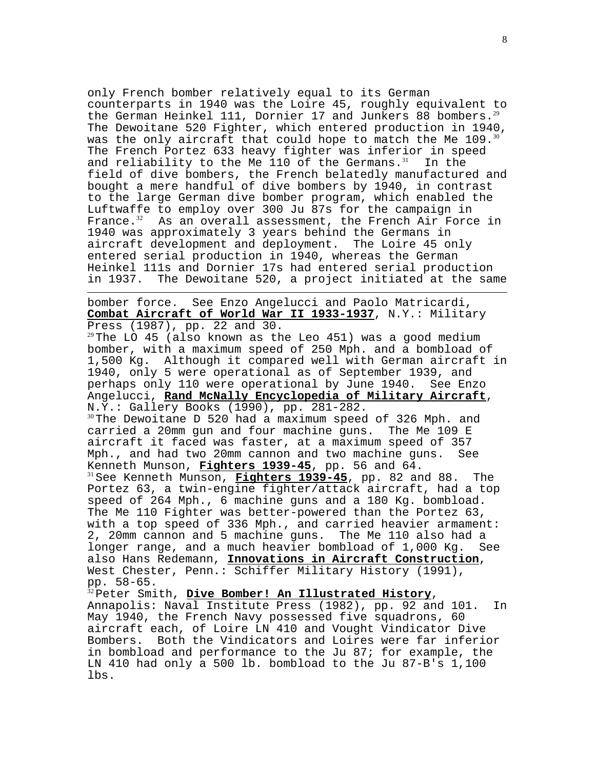only French bomber relatively equal to its German counterparts in 1940 was the Loire 45, roughly equivalent to the German Heinkel 111, Dornier 17 and Junkers 88 bombers. $2^9$ The Dewoitane 520 Fighter, which entered production in 1940, was the only aircraft that could hope to match the Me  $109.^{30}$ The French Portez 633 heavy fighter was inferior in speed and reliability to the Me 110 of the Germans. $31$  In the field of dive bombers, the French belatedly manufactured and bought a mere handful of dive bombers by 1940, in contrast to the large German dive bomber program, which enabled the Luftwaffe to employ over 300 Ju 87s for the campaign in France. $32$  As an overall assessment, the French Air Force in 1940 was approximately 3 years behind the Germans in aircraft development and deployment. The Loire 45 only entered serial production in 1940, whereas the German Heinkel 111s and Dornier 17s had entered serial production in 1937. The Dewoitane 520, a project initiated at the same

 $\overline{a}$ bomber force. See Enzo Angelucci and Paolo Matricardi, **Combat Aircraft of World War II 1933-1937**, N.Y.: Military Press (1987), pp. 22 and 30.

 $29$ The LO 45 (also known as the Leo 451) was a good medium bomber, with a maximum speed of 250 Mph. and a bombload of 1,500 Kg. Although it compared well with German aircraft in 1940, only 5 were operational as of September 1939, and perhaps only 110 were operational by June 1940. See Enzo Angelucci, **Rand McNally Encyclopedia of Military Aircraft**, N.Y.: Gallery Books (1990), pp. 281-282.

 $30$ The Dewoitane D 520 had a maximum speed of 326 Mph. and carried a 20mm gun and four machine guns. The Me 109 E aircraft it faced was faster, at a maximum speed of 357 Mph., and had two 20mm cannon and two machine guns. See Kenneth Munson, Fighters 1939-45, pp. 56 and 64. <sup>31</sup> See Kenneth Munson, **Fighters 1939-45**, pp. 82 and 88. The Portez 63, a twin-engine fighter/attack aircraft, had a top speed of 264 Mph., 6 machine guns and a 180 Kg. bombload. The Me 110 Fighter was better-powered than the Portez 63, with a top speed of 336 Mph., and carried heavier armament: 2, 20mm cannon and 5 machine guns. The Me 110 also had a longer range, and a much heavier bombload of 1,000 Kg. See also Hans Redemann, **Innovations in Aircraft Construction**, West Chester, Penn.: Schiffer Military History (1991),

pp. 58-65.<br><sup>32</sup> Peter Smith, **Dive <u>Bomber! An Illustrated History</u>,** Annapolis: Naval Institute Press (1982), pp. 92 and 101. In May 1940, the French Navy possessed five squadrons, 60 aircraft each, of Loire LN 410 and Vought Vindicator Dive Bombers. Both the Vindicators and Loires were far inferior in bombload and performance to the Ju 87; for example, the LN 410 had only a 500 lb. bombload to the Ju 87-B's 1,100 lbs.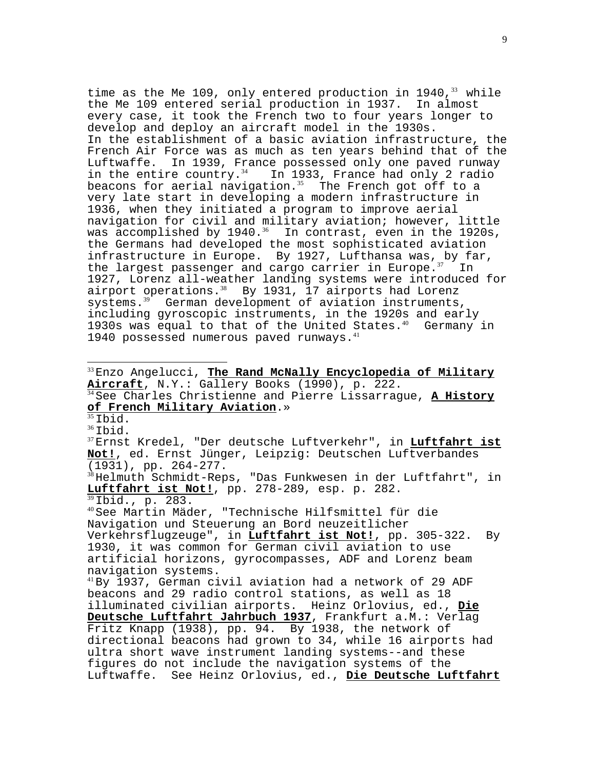time as the Me 109, only entered production in 1940,  $33$  while the Me 109 entered serial production in 1937. In almost every case, it took the French two to four years longer to develop and deploy an aircraft model in the 1930s. In the establishment of a basic aviation infrastructure, the French Air Force was as much as ten years behind that of the Luftwaffe. In 1939, France possessed only one paved runway in the entire country.<sup>34</sup> In 1933, France had only 2 radio beacons for aerial navigation. $35$  The French got off to a very late start in developing a modern infrastructure in 1936, when they initiated a program to improve aerial navigation for civil and military aviation; however, little was accomplished by  $1940.^{36}$  In contrast, even in the 1920s, the Germans had developed the most sophisticated aviation infrastructure in Europe. By 1927, Lufthansa was, by far, the largest passenger and cargo carrier in Europe. $37$  In 1927, Lorenz all-weather landing systems were introduced for airport operations. $38$  By 1931, 17 airports had Lorenz systems.<sup>39</sup> German development of aviation instruments, including gyroscopic instruments, in the 1920s and early 1930s was equal to that of the United States. $40$  Germany in 1940 possessed numerous paved runways.<sup>41</sup>

 $\overline{a}$ 

<sup>33</sup>Enzo Angelucci, <mark>The Rand McNally Encyclopedia of Military</mark><br><u>Aircraft</u>, N.Y.: Gallery Books (1990), p. 222. <sup>34</sup> See Charles Christienne and Pierre Lissarrague, <u>A History</u><br>of French Military Aviation.» <sup>35</sup>Ibid.<br><sup>36</sup>Ibid.<br><sup>37</sup>Ernst Kredel, "Der deutsche Luftverkehr", in **Luftfahrt ist Not!**, ed. Ernst Jünger, Leipzig: Deutschen Luftverbandes (1931), pp. 264-277. <sup>38</sup>Helmuth Schmidt-Reps, "Das Funkwesen in der Luftfahrt", in **Luftfahrt ist Not!**, pp. 278-289, esp. p. 282. <sup>40</sup>See Martin Mäder, "Technische Hilfsmittel für die Navigation und Steuerung an Bord neuzeitlicher Verkehrsflugzeuge", in **Luftfahrt ist Not!**, pp. 305-322. By 1930, it was common for German civil aviation to use artificial horizons, gyrocompasses, ADF and Lorenz beam navigation systems. <sup>41</sup>By 1937, German civil aviation had a network of 29 ADF beacons and 29 radio control stations, as well as 18 illuminated civilian airports. Heinz Orlovius, ed., **Die Deutsche Luftfahrt Jahrbuch 1937**, Frankfurt a.M.: Verlag Fritz Knapp (1938), pp. 94. By 1938, the network of directional beacons had grown to 34, while 16 airports had ultra short wave instrument landing systems--and these figures do not include the navigation systems of the Luftwaffe. See Heinz Orlovius, ed., **Die Deutsche Luftfahrt**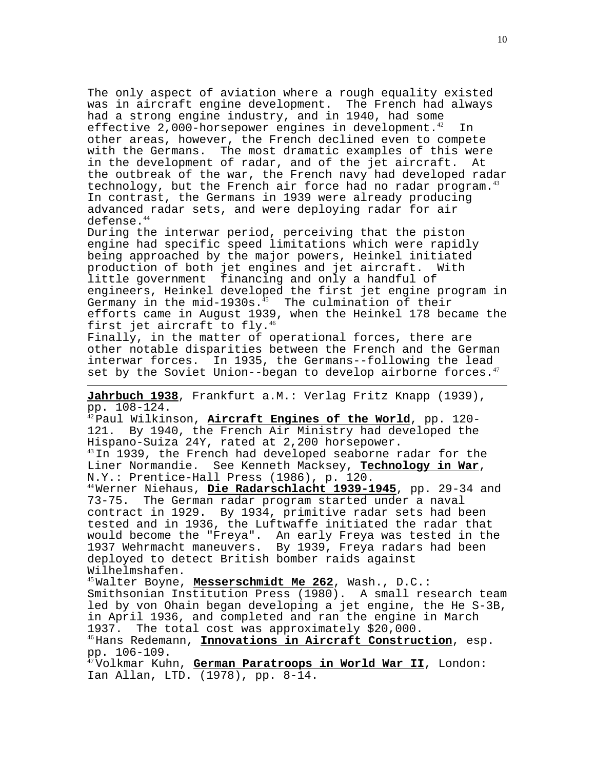The only aspect of aviation where a rough equality existed was in aircraft engine development. The French had always had a strong engine industry, and in 1940, had some effective 2,000-horsepower engines in development.<sup>42</sup> In other areas, however, the French declined even to compete with the Germans. The most dramatic examples of this were in the development of radar, and of the jet aircraft. At the outbreak of the war, the French navy had developed radar technology, but the French air force had no radar program. $43$ In contrast, the Germans in 1939 were already producing advanced radar sets, and were deploying radar for air defense.<sup>44</sup>

During the interwar period, perceiving that the piston engine had specific speed limitations which were rapidly being approached by the major powers, Heinkel initiated production of both jet engines and jet aircraft. With little government financing and only a handful of engineers, Heinkel developed the first jet engine program in Germany in the mid-1930s. $^{45}$  The culmination of their efforts came in August 1939, when the Heinkel 178 became the first jet aircraft to fly.<sup>46</sup>

Finally, in the matter of operational forces, there are other notable disparities between the French and the German interwar forces. In 1935, the Germans--following the lead set by the Soviet Union--began to develop airborne forces. $47$ 

**Jahrbuch 1938**, Frankfurt a.M.: Verlag Fritz Knapp (1939), pp. 108-124.

 $\overline{a}$ 

<sup>42</sup>Paul Wilkinson, **Aircraft Engines of the World**, pp. 120- 121. By 1940, the French Air Ministry had developed the Hispano-Suiza 24Y, rated at 2,200 horsepower.  $^{43}$ In 1939, the French had developed seaborne radar for the Liner Normandie. See Kenneth Macksey, **Technology in War**, N.Y.: Prentice-Hall Press (1986), p. 120. <sup>44</sup>Werner Niehaus, **Die Radarschlacht 1939-1945**, pp. 29-34 and 73-75. The German radar program started under a naval contract in 1929. By 1934, primitive radar sets had been tested and in 1936, the Luftwaffe initiated the radar that would become the "Freya". An early Freya was tested in the 1937 Wehrmacht maneuvers. By 1939, Freya radars had been deployed to detect British bomber raids against Wilhelmshafen. <sup>45</sup>Walter Boyne, **Messerschmidt Me 262**, Wash., D.C.: Smithsonian Institution Press (1980). A small research team led by von Ohain began developing a jet engine, the He S-3B, in April 1936, and completed and ran the engine in March 1937. The total cost was approximately \$20,000. <sup>46</sup>Hans Redemann, **Innovations in Aircraft Construction**, esp. pp. 106-109.

<sup>47</sup>Volkmar Kuhn, **German Paratroops in World War II**, London: Ian Allan, LTD. (1978), pp. 8-14.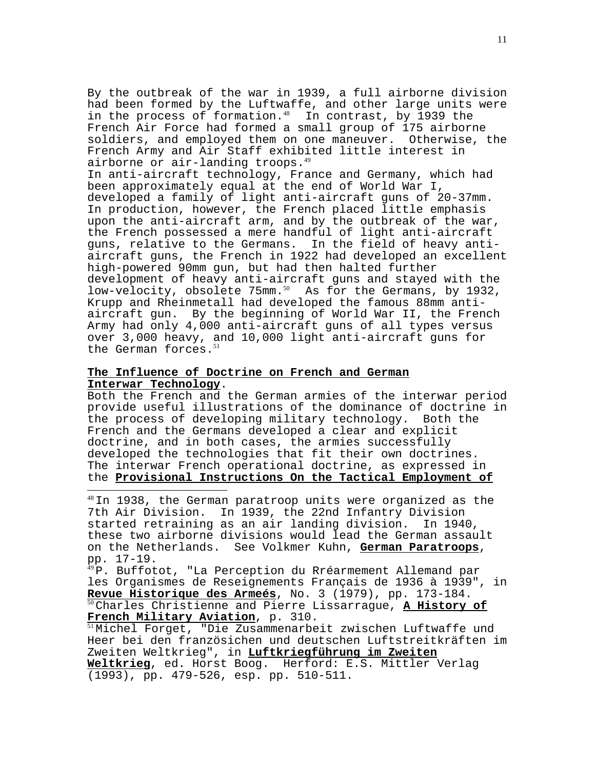By the outbreak of the war in 1939, a full airborne division had been formed by the Luftwaffe, and other large units were in the process of formation. $48$  In contrast, by 1939 the French Air Force had formed a small group of 175 airborne soldiers, and employed them on one maneuver. Otherwise, the French Army and Air Staff exhibited little interest in airborne or air-landing troops.<sup>49</sup>

In anti-aircraft technology, France and Germany, which had been approximately equal at the end of World War I, developed a family of light anti-aircraft guns of 20-37mm. In production, however, the French placed little emphasis upon the anti-aircraft arm, and by the outbreak of the war, the French possessed a mere handful of light anti-aircraft guns, relative to the Germans. In the field of heavy antiaircraft guns, the French in 1922 had developed an excellent high-powered 90mm gun, but had then halted further development of heavy anti-aircraft guns and stayed with the low-velocity, obsolete 75mm.<sup>50</sup> As for the Germans, by 1932, Krupp and Rheinmetall had developed the famous 88mm antiaircraft gun. By the beginning of World War II, the French Army had only 4,000 anti-aircraft guns of all types versus over 3,000 heavy, and 10,000 light anti-aircraft guns for the German forces.<sup>51</sup>

# **The Influence of Doctrine on French and German Interwar Technology**.

 $\overline{a}$ 

Both the French and the German armies of the interwar period provide useful illustrations of the dominance of doctrine in the process of developing military technology. Both the French and the Germans developed a clear and explicit doctrine, and in both cases, the armies successfully developed the technologies that fit their own doctrines. The interwar French operational doctrine, as expressed in the **Provisional Instructions On the Tactical Employment of**

 $^{48}$ In 1938, the German paratroop units were organized as the 7th Air Division. In 1939, the 22nd Infantry Division started retraining as an air landing division. In 1940, these two airborne divisions would lead the German assault on the Netherlands. See Volkmer Kuhn, **German Paratroops**, pp. 17-19.

<sup>49</sup>P. Buffotot, "La Perception du Rréarmement Allemand par les Organismes de Reseignements Français de 1936 à 1939", in<br>Revue Historique des Armeés, No. 3 (1979), pp. 173-184. **Revue Historique des Armeés**, No. 3 (1979), pp. 173-184. <sup>50</sup>Charles Christienne and Pierre Lissarrague, **A History of** French Military Aviation, p. 310.<br><sup>51</sup>Michel Forget, "Die Zusammenarbeit zwischen Luftwaffe und

Heer bei den französichen und deutschen Luftstreitkräften im Zweiten Weltkrieg", in **Luftkriegführung im Zweiten Weltkrieg**, ed. Horst Boog. Herford: E.S. Mittler Verlag (1993), pp. 479-526, esp. pp. 510-511.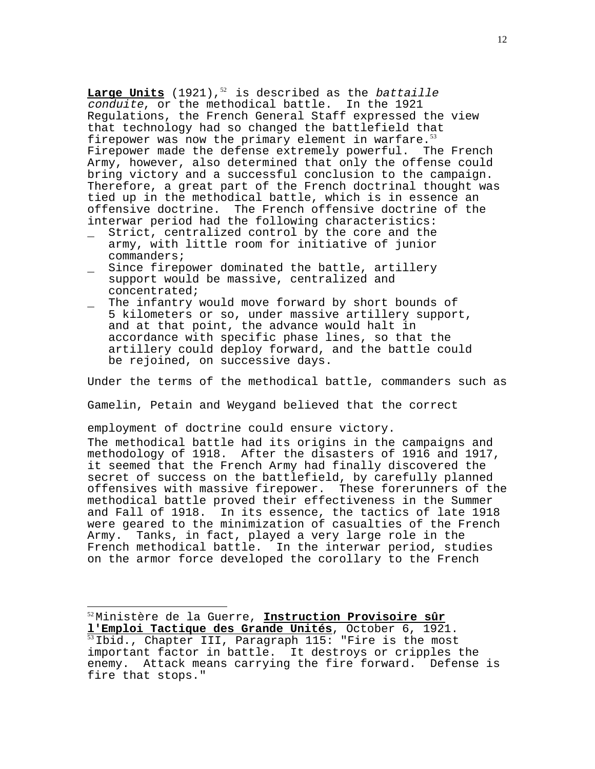**Large Units** (1921),<sup>52</sup> is described as the battaille conduite, or the methodical battle. In the 1921 Regulations, the French General Staff expressed the view that technology had so changed the battlefield that firepower was now the primary element in warfare. $^{53}$ Firepower made the defense extremely powerful. The French Army, however, also determined that only the offense could bring victory and a successful conclusion to the campaign. Therefore, a great part of the French doctrinal thought was tied up in the methodical battle, which is in essence an offensive doctrine. The French offensive doctrine of the interwar period had the following characteristics:

- \_ Strict, centralized control by the core and the army, with little room for initiative of junior commanders;
- Since firepower dominated the battle, artillery support would be massive, centralized and concentrated;
- The infantry would move forward by short bounds of 5 kilometers or so, under massive artillery support, and at that point, the advance would halt in accordance with specific phase lines, so that the artillery could deploy forward, and the battle could be rejoined, on successive days.

Under the terms of the methodical battle, commanders such as

Gamelin, Petain and Weygand believed that the correct

employment of doctrine could ensure victory.

 $\overline{a}$ 

The methodical battle had its origins in the campaigns and methodology of 1918. After the disasters of 1916 and 1917, it seemed that the French Army had finally discovered the secret of success on the battlefield, by carefully planned offensives with massive firepower. These forerunners of the methodical battle proved their effectiveness in the Summer and Fall of 1918. In its essence, the tactics of late 1918 were geared to the minimization of casualties of the French Army. Tanks, in fact, played a very large role in the French methodical battle. In the interwar period, studies on the armor force developed the corollary to the French

<sup>52</sup>Ministère de la Guerre, **Instruction Provisoire sûr** <sup>53</sup> Ibid., Chapter III, Paragraph 115: "Fire is the most important factor in battle. It destroys or cripples the enemy. Attack means carrying the fire forward. Defense is fire that stops."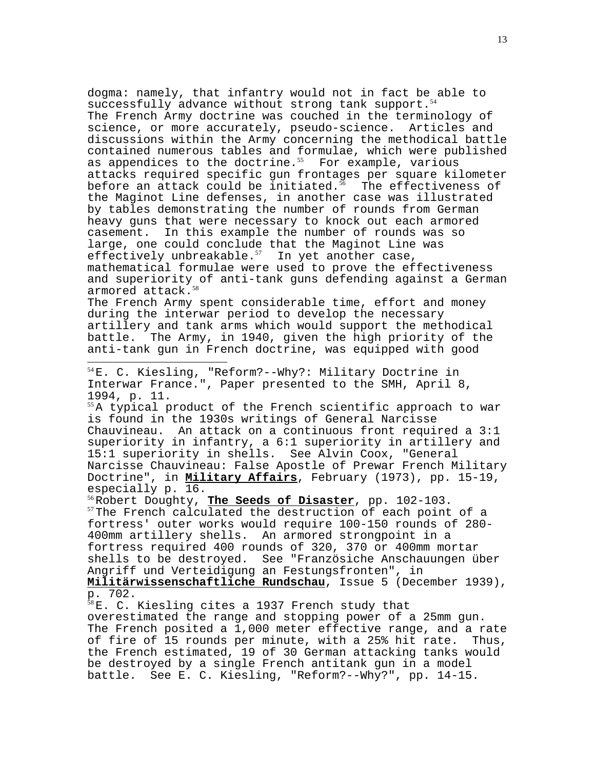dogma: namely, that infantry would not in fact be able to successfully advance without strong tank support.<sup>54</sup> The French Army doctrine was couched in the terminology of science, or more accurately, pseudo-science. Articles and discussions within the Army concerning the methodical battle contained numerous tables and formulae, which were published as appendices to the doctrine. $55$  For example, various attacks required specific gun frontages per square kilometer before an attack could be initiated. $56$  The effectiveness of the Maginot Line defenses, in another case was illustrated by tables demonstrating the number of rounds from German heavy guns that were necessary to knock out each armored casement. In this example the number of rounds was so large, one could conclude that the Maginot Line was effectively unbreakable. $57$  In yet another case, mathematical formulae were used to prove the effectiveness and superiority of anti-tank guns defending against a German armored attack.<sup>58</sup>

The French Army spent considerable time, effort and money during the interwar period to develop the necessary artillery and tank arms which would support the methodical battle. The Army, in 1940, given the high priority of the anti-tank gun in French doctrine, was equipped with good

<sup>54</sup>E. C. Kiesling, "Reform?--Why?: Military Doctrine in Interwar France.", Paper presented to the SMH, April 8, 1994, p. 11.

 $\overline{a}$ 

 $55A$  typical product of the French scientific approach to war is found in the 1930s writings of General Narcisse Chauvineau. An attack on a continuous front required a 3:1 superiority in infantry, a 6:1 superiority in artillery and 15:1 superiority in shells. See Alvin Coox, "General Narcisse Chauvineau: False Apostle of Prewar French Military Doctrine", in **Military Affairs**, February (1973), pp. 15-19, especially p. 16.<br><sup>56</sup>Robert Doughty, **The Seeds of Disaster**, pp. 102-103.

<sup>57</sup>The French calculated the destruction of each point of a fortress' outer works would require 100-150 rounds of 280- 400mm artillery shells. An armored strongpoint in a fortress required 400 rounds of 320, 370 or 400mm mortar shells to be destroyed. See "Französiche Anschauungen über Angriff und Verteidigung an Festungsfronten", in **Militärwissenschaftliche Rundschau**, Issue 5 (December 1939), p. 702.

<sup>58</sup>E. C. Kiesling cites a 1937 French study that overestimated the range and stopping power of a 25mm gun. The French posited a 1,000 meter effective range, and a rate of fire of 15 rounds per minute, with a 25% hit rate. Thus, the French estimated, 19 of 30 German attacking tanks would be destroyed by a single French antitank gun in a model battle. See E. C. Kiesling, "Reform?--Why?", pp. 14-15.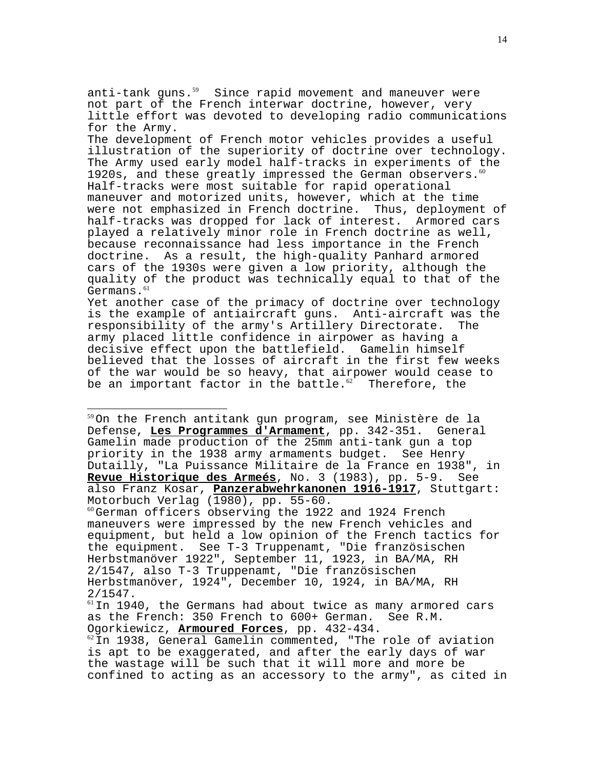anti-tank guns. $59$  Since rapid movement and maneuver were not part of the French interwar doctrine, however, very little effort was devoted to developing radio communications for the Army.

The development of French motor vehicles provides a useful illustration of the superiority of doctrine over technology. The Army used early model half-tracks in experiments of the 1920s, and these greatly impressed the German observers. $60$ Half-tracks were most suitable for rapid operational maneuver and motorized units, however, which at the time were not emphasized in French doctrine. Thus, deployment of half-tracks was dropped for lack of interest. Armored cars played a relatively minor role in French doctrine as well, because reconnaissance had less importance in the French doctrine. As a result, the high-quality Panhard armored cars of the 1930s were given a low priority, although the quality of the product was technically equal to that of the Germans. $^{61}$ 

Yet another case of the primacy of doctrine over technology is the example of antiaircraft guns. Anti-aircraft was the responsibility of the army's Artillery Directorate. The army placed little confidence in airpower as having a decisive effect upon the battlefield. Gamelin himself believed that the losses of aircraft in the first few weeks of the war would be so heavy, that airpower would cease to be an important factor in the battle. $62$  Therefore, the

 $\overline{a}$ 

<sup>59</sup>On the French antitank gun program, see Ministère de la Defense, **Les Programmes d'Armament**, pp. 342-351. General Gamelin made production of the 25mm anti-tank gun a top priority in the 1938 army armaments budget. See Henry Dutailly, "La Puissance Militaire de la France en 1938", in **Revue Historique des Armeés**, No. 3 (1983), pp. 5-9. See also Franz Kosar, **Panzerabwehrkanonen 1916-1917**, Stuttgart: Motorbuch Verlag (1980), pp. 55-60.  $60$ German officers observing the 1922 and 1924 French maneuvers were impressed by the new French vehicles and equipment, but held a low opinion of the French tactics for the equipment. See T-3 Truppenamt, "Die französischen Herbstmanöver 1922", September 11, 1923, in BA/MA, RH 2/1547, also T-3 Truppenamt, "Die französischen Herbstmanöver, 1924", December 10, 1924, in BA/MA, RH 2/1547.  $61$ In 1940, the Germans had about twice as many armored cars as the French: 350 French to 600+ German. See R.M. Ogorkiewicz, <u>Armoured Forces</u>, pp. 432-434.<br><sup>62</sup>In 1938, General Gamelin commented, "The role of aviation is apt to be exaggerated, and after the early days of war the wastage will be such that it will more and more be confined to acting as an accessory to the army", as cited in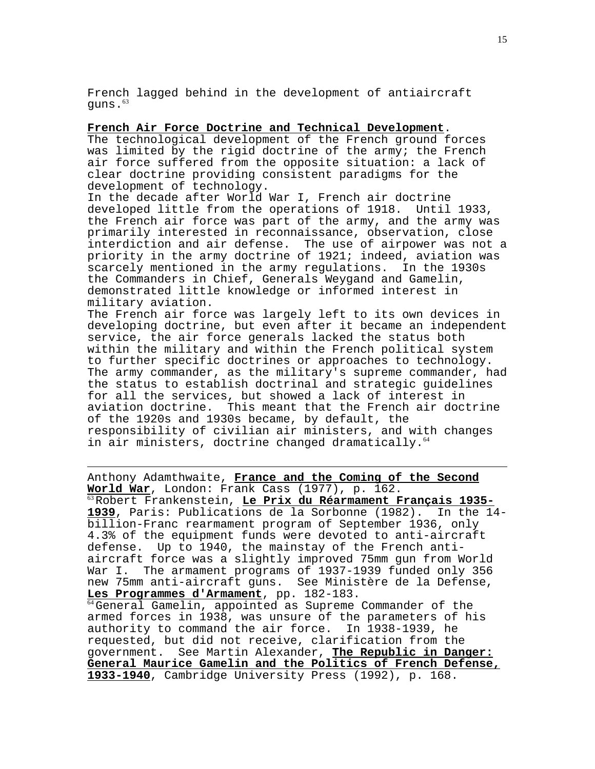French lagged behind in the development of antiaircraft quns. $^{63}$ 

**French Air Force Doctrine and Technical Development**. The technological development of the French ground forces was limited by the rigid doctrine of the army; the French air force suffered from the opposite situation: a lack of clear doctrine providing consistent paradigms for the development of technology.

In the decade after World War I, French air doctrine developed little from the operations of 1918. Until 1933, the French air force was part of the army, and the army was primarily interested in reconnaissance, observation, close interdiction and air defense. The use of airpower was not a priority in the army doctrine of 1921; indeed, aviation was scarcely mentioned in the army regulations. In the 1930s the Commanders in Chief, Generals Weygand and Gamelin, demonstrated little knowledge or informed interest in military aviation.

The French air force was largely left to its own devices in developing doctrine, but even after it became an independent service, the air force generals lacked the status both within the military and within the French political system to further specific doctrines or approaches to technology. The army commander, as the military's supreme commander, had the status to establish doctrinal and strategic guidelines for all the services, but showed a lack of interest in aviation doctrine. This meant that the French air doctrine of the 1920s and 1930s became, by default, the responsibility of civilian air ministers, and with changes in air ministers, doctrine changed dramatically.<sup>64</sup>

Anthony Adamthwaite, **France and the Coming of the Second** World War, London: Frank Cass (1977), p. 162.<br><sup>63</sup>Robert Frankenstein, **Le Prix du Réarmament Français 1935-1939**, Paris: Publications de la Sorbonne (1982). In the 14 billion-Franc rearmament program of September 1936, only 4.3% of the equipment funds were devoted to anti-aircraft defense. Up to 1940, the mainstay of the French antiaircraft force was a slightly improved 75mm gun from World The armament programs of 1937-1939 funded only 356 new 75mm anti-aircraft guns. See Ministère de la Defense,<br>Les Programmes d'Armament, pp. 182-183.

 $\overline{a}$ 

<sup>64</sup> General Gamelin, appointed as Supreme Commander of the armed forces in 1938, was unsure of the parameters of his authority to command the air force. In 1938-1939, he requested, but did not receive, clarification from the government. See Martin Alexander, **The Republic in Danger: General Maurice Gamelin and the Politics of French Defense, 1933-1940**, Cambridge University Press (1992), p. 168.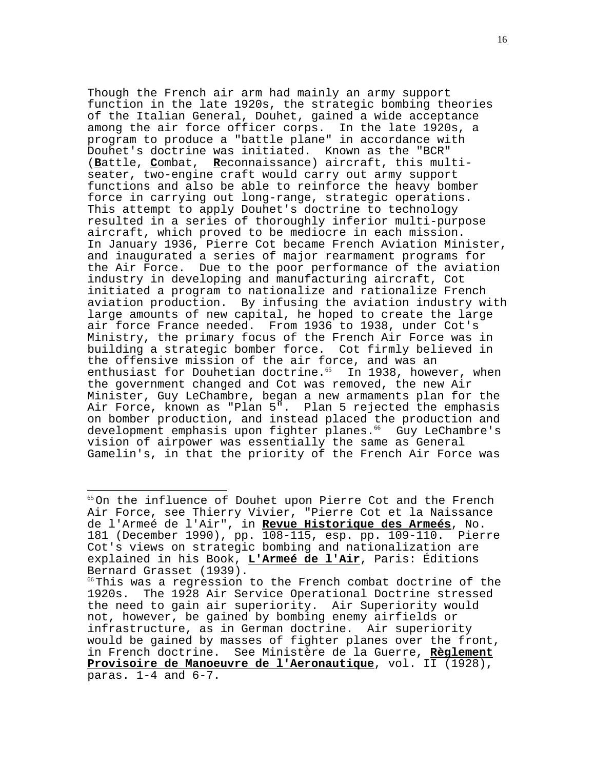Though the French air arm had mainly an army support function in the late 1920s, the strategic bombing theories of the Italian General, Douhet, gained a wide acceptance among the air force officer corps. In the late 1920s, a program to produce a "battle plane" in accordance with Douhet's doctrine was initiated. Known as the "BCR" (**B**attle, **C**ombat, **R**econnaissance) aircraft, this multiseater, two-engine craft would carry out army support functions and also be able to reinforce the heavy bomber force in carrying out long-range, strategic operations. This attempt to apply Douhet's doctrine to technology resulted in a series of thoroughly inferior multi-purpose aircraft, which proved to be mediocre in each mission. In January 1936, Pierre Cot became French Aviation Minister, and inaugurated a series of major rearmament programs for the Air Force. Due to the poor performance of the aviation industry in developing and manufacturing aircraft, Cot initiated a program to nationalize and rationalize French aviation production. By infusing the aviation industry with large amounts of new capital, he hoped to create the large air force France needed. From 1936 to 1938, under Cot's Ministry, the primary focus of the French Air Force was in building a strategic bomber force. Cot firmly believed in the offensive mission of the air force, and was an enthusiast for Douhetian doctrine. $65$  In 1938, however, when the government changed and Cot was removed, the new Air Minister, Guy LeChambre, began a new armaments plan for the Air Force, known as "Plan 5". Plan 5 rejected the emphasis on bomber production, and instead placed the production and development emphasis upon fighter planes.<sup>66</sup> Guy LeChambre's vision of airpower was essentially the same as General Gamelin's, in that the priority of the French Air Force was

 $\overline{a}$ 

<sup>&</sup>lt;sup>65</sup>On the influence of Douhet upon Pierre Cot and the French Air Force, see Thierry Vivier, "Pierre Cot et la Naissance de l'Armeé de l'Air", in **Revue Historique des Armeés**, No. 181 (December 1990), pp. 108-115, esp. pp. 109-110. Pierre Cot's views on strategic bombing and nationalization are explained in his Book, **L'Armeé de l'Air**, Paris: Éditions Bernard Grasset (1939).

 $66$ This was a regression to the French combat doctrine of the 1920s. The 1928 Air Service Operational Doctrine stressed the need to gain air superiority. Air Superiority would not, however, be gained by bombing enemy airfields or infrastructure, as in German doctrine. Air superiority would be gained by masses of fighter planes over the front, in French doctrine. See Ministère de la Guerre, **Règlement Provisoire de Manoeuvre de l'Aeronautique**, vol. II (1928), paras. 1-4 and 6-7.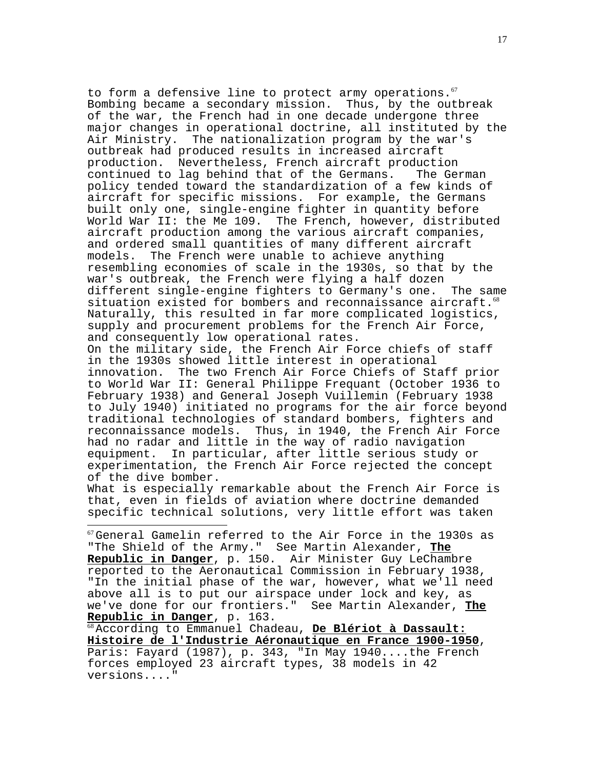to form a defensive line to protect army operations. $67$ Bombing became a secondary mission. Thus, by the outbreak of the war, the French had in one decade undergone three major changes in operational doctrine, all instituted by the<br>Air Ministry. The nationalization program by the war's The nationalization program by the war's outbreak had produced results in increased aircraft production. Nevertheless, French aircraft production continued to lag behind that of the Germans. The German policy tended toward the standardization of a few kinds of aircraft for specific missions. For example, the Germans built only one, single-engine fighter in quantity before World War II: the Me 109. The French, however, distributed aircraft production among the various aircraft companies, and ordered small quantities of many different aircraft models. The French were unable to achieve anything resembling economies of scale in the 1930s, so that by the war's outbreak, the French were flying a half dozen different single-engine fighters to Germany's one. The same situation existed for bombers and reconnaissance aircraft. $^{68}$ Naturally, this resulted in far more complicated logistics, supply and procurement problems for the French Air Force, and consequently low operational rates. On the military side, the French Air Force chiefs of staff in the 1930s showed little interest in operational innovation. The two French Air Force Chiefs of Staff prior to World War II: General Philippe Frequant (October 1936 to February 1938) and General Joseph Vuillemin (February 1938 to July 1940) initiated no programs for the air force beyond traditional technologies of standard bombers, fighters and reconnaissance models. Thus, in 1940, the French Air Force

had no radar and little in the way of radio navigation equipment. In particular, after little serious study or experimentation, the French Air Force rejected the concept of the dive bomber.

What is especially remarkable about the French Air Force is that, even in fields of aviation where doctrine demanded specific technical solutions, very little effort was taken

 $\overline{a}$ 

 $67$ General Gamelin referred to the Air Force in the 1930s as "The Shield of the Army." See Martin Alexander, **The Republic in Danger**, p. 150. Air Minister Guy LeChambre reported to the Aeronautical Commission in February 1938, "In the initial phase of the war, however, what we'll need above all is to put our airspace under lock and key, as we've done for our frontiers." See Martin Alexander, **The**

<sup>68</sup> According to Emmanuel Chadeau, De Blériot à Dassault:<br>Histoire de l'Industrie Aéronautique en France 1900-1950, Paris: Fayard (1987), p. 343, "In May 1940....the French forces employed 23 aircraft types, 38 models in 42 versions...."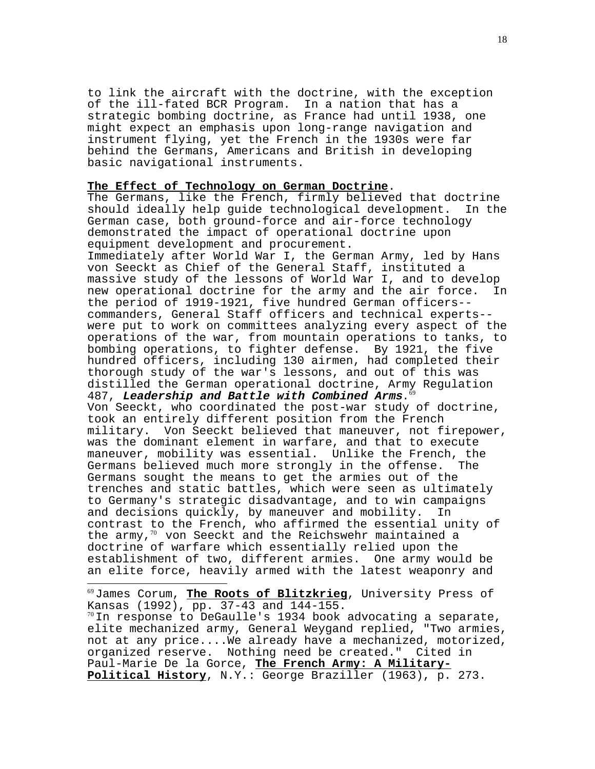to link the aircraft with the doctrine, with the exception of the ill-fated BCR Program. In a nation that has a strategic bombing doctrine, as France had until 1938, one might expect an emphasis upon long-range navigation and instrument flying, yet the French in the 1930s were far behind the Germans, Americans and British in developing basic navigational instruments.

## **The Effect of Technology on German Doctrine**.

The Germans, like the French, firmly believed that doctrine should ideally help guide technological development. In the German case, both ground-force and air-force technology demonstrated the impact of operational doctrine upon equipment development and procurement.

Immediately after World War I, the German Army, led by Hans von Seeckt as Chief of the General Staff, instituted a massive study of the lessons of World War I, and to develop new operational doctrine for the army and the air force. In the period of 1919-1921, five hundred German officers- commanders, General Staff officers and technical experts- were put to work on committees analyzing every aspect of the operations of the war, from mountain operations to tanks, to bombing operations, to fighter defense. By 1921, the five hundred officers, including 130 airmen, had completed their thorough study of the war's lessons, and out of this was distilled the German operational doctrine, Army Regulation 487, **Leadership and Battle with Combined Arms**.<sup>69</sup> Von Seeckt, who coordinated the post-war study of doctrine, took an entirely different position from the French military. Von Seeckt believed that maneuver, not firepower, was the dominant element in warfare, and that to execute maneuver, mobility was essential. Unlike the French, the Germans believed much more strongly in the offense. The Germans sought the means to get the armies out of the trenches and static battles, which were seen as ultimately to Germany's strategic disadvantage, and to win campaigns and decisions quickly, by maneuver and mobility. In contrast to the French, who affirmed the essential unity of the army, $70$  von Seeckt and the Reichswehr maintained a doctrine of warfare which essentially relied upon the establishment of two, different armies. One army would be an elite force, heavily armed with the latest weaponry and

<sup>69</sup>James Corum, **The Roots of Blitzkrieg**, University Press of Kansas (1992), pp. 37-43 and 144-155.  $^{70}$ In response to DeGaulle's 1934 book advocating a separate, elite mechanized army, General Weygand replied, "Two armies, not at any price....We already have a mechanized, motorized, organized reserve. Nothing need be created." Cited in Paul-Marie De la Gorce, **The French Army: A Military-Political History**, N.Y.: George Braziller (1963), p. 273.

 $\overline{a}$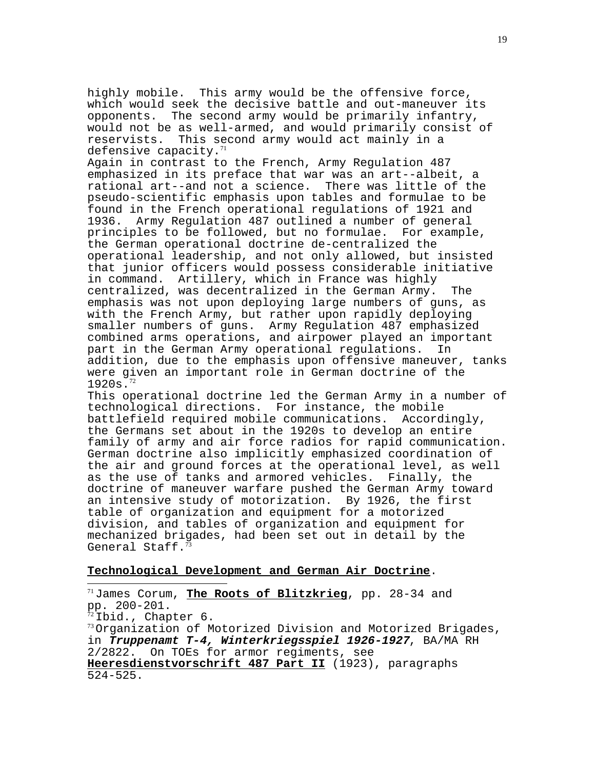highly mobile. This army would be the offensive force, which would seek the decisive battle and out-maneuver its opponents. The second army would be primarily infantry, would not be as well-armed, and would primarily consist of reservists. This second army would act mainly in a defensive capacity. $71$ 

Again in contrast to the French, Army Regulation 487 emphasized in its preface that war was an art--albeit, a rational art--and not a science. There was little of the pseudo-scientific emphasis upon tables and formulae to be found in the French operational regulations of 1921 and 1936. Army Regulation 487 outlined a number of general principles to be followed, but no formulae. For example, the German operational doctrine de-centralized the operational leadership, and not only allowed, but insisted that junior officers would possess considerable initiative in command. Artillery, which in France was highly centralized, was decentralized in the German Army. The emphasis was not upon deploying large numbers of guns, as with the French Army, but rather upon rapidly deploying smaller numbers of guns. Army Regulation 487 emphasized combined arms operations, and airpower played an important part in the German Army operational regulations. In addition, due to the emphasis upon offensive maneuver, tanks were given an important role in German doctrine of the  $1920s.$ <sup>72</sup>

This operational doctrine led the German Army in a number of technological directions. For instance, the mobile battlefield required mobile communications. Accordingly, the Germans set about in the 1920s to develop an entire family of army and air force radios for rapid communication. German doctrine also implicitly emphasized coordination of the air and ground forces at the operational level, as well as the use of tanks and armored vehicles. Finally, the doctrine of maneuver warfare pushed the German Army toward an intensive study of motorization. By 1926, the first table of organization and equipment for a motorized division, and tables of organization and equipment for mechanized brigades, had been set out in detail by the General Staff.<sup>73</sup>

# **Technological Development and German Air Doctrine**.

 $\overline{a}$ 

<sup>71</sup>James Corum, **The Roots of Blitzkrieg**, pp. 28-34 and pp. 200-201.  $^{72}$ Ibid., Chapter 6.<br> $^{73}$ Organization of Motorized Division and Motorized Brigades, in **Truppenamt T-4, Winterkriegsspiel 1926-1927**, BA/MA RH 2/2822. On TOEs for armor regiments, see **Heeresdienstvorschrift 487 Part II** (1923), paragraphs 524-525.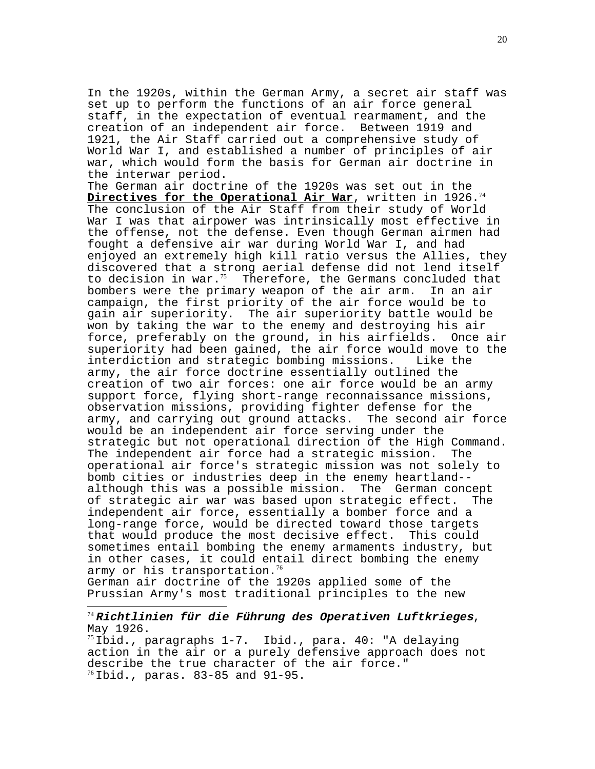In the 1920s, within the German Army, a secret air staff was set up to perform the functions of an air force general staff, in the expectation of eventual rearmament, and the creation of an independent air force. Between 1919 and 1921, the Air Staff carried out a comprehensive study of World War I, and established a number of principles of air war, which would form the basis for German air doctrine in the interwar period.

The German air doctrine of the 1920s was set out in the Directives for the Operational Air War, written in 1926.<sup>74</sup> The conclusion of the Air Staff from their study of World War I was that airpower was intrinsically most effective in the offense, not the defense. Even though German airmen had fought a defensive air war during World War I, and had enjoyed an extremely high kill ratio versus the Allies, they discovered that a strong aerial defense did not lend itself to decision in war. $75$  Therefore, the Germans concluded that bombers were the primary weapon of the air arm. In an air campaign, the first priority of the air force would be to gain air superiority. The air superiority battle would be won by taking the war to the enemy and destroying his air force, preferably on the ground, in his airfields. Once air superiority had been gained, the air force would move to the interdiction and strategic bombing missions. Like the army, the air force doctrine essentially outlined the creation of two air forces: one air force would be an army support force, flying short-range reconnaissance missions, observation missions, providing fighter defense for the<br>army, and carrying out ground attacks. The second air force army, and carrying out ground attacks. would be an independent air force serving under the strategic but not operational direction of the High Command. The independent air force had a strategic mission. The operational air force's strategic mission was not solely to bomb cities or industries deep in the enemy heartland- although this was a possible mission. The German concept of strategic air war was based upon strategic effect. The independent air force, essentially a bomber force and a long-range force, would be directed toward those targets that would produce the most decisive effect. This could sometimes entail bombing the enemy armaments industry, but in other cases, it could entail direct bombing the enemy army or his transportation.<sup>76</sup>

German air doctrine of the 1920s applied some of the Prussian Army's most traditional principles to the new

 $\overline{a}$ 

# <sup>74</sup>**Richtlinien für die Führung des Operativen Luftkrieges**, May 1926.

 $75$ Ibid., paragraphs 1-7. Ibid., para. 40: "A delaying action in the air or a purely defensive approach does not describe the true character of the air force."  $76$  Ibid., paras. 83-85 and 91-95.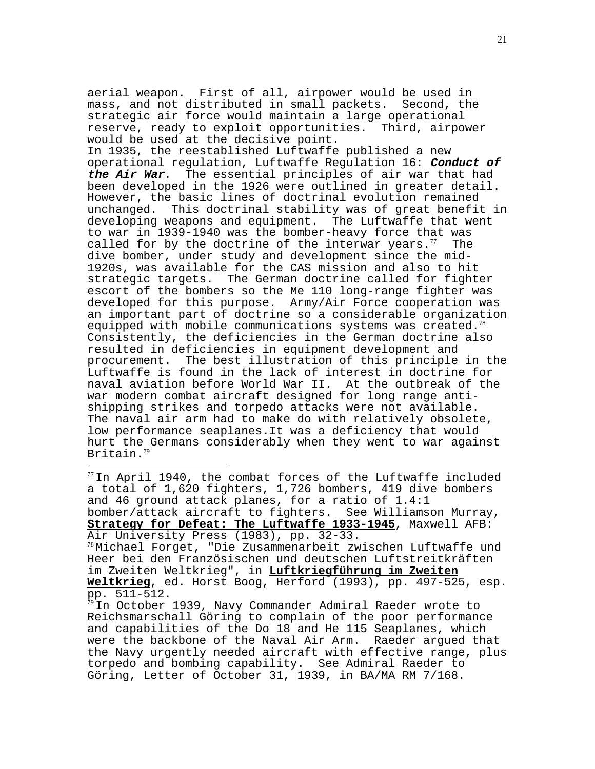aerial weapon. First of all, airpower would be used in mass, and not distributed in small packets. Second, the strategic air force would maintain a large operational reserve, ready to exploit opportunities. Third, airpower would be used at the decisive point.

In 1935, the reestablished Luftwaffe published a new operational regulation, Luftwaffe Regulation 16: **Conduct of the Air War**. The essential principles of air war that had been developed in the 1926 were outlined in greater detail. However, the basic lines of doctrinal evolution remained unchanged. This doctrinal stability was of great benefit in developing weapons and equipment. The Luftwaffe that went to war in 1939-1940 was the bomber-heavy force that was called for by the doctrine of the interwar years. $77$  The dive bomber, under study and development since the mid-1920s, was available for the CAS mission and also to hit strategic targets. The German doctrine called for fighter escort of the bombers so the Me 110 long-range fighter was developed for this purpose. Army/Air Force cooperation was an important part of doctrine so a considerable organization equipped with mobile communications systems was created. $78$ Consistently, the deficiencies in the German doctrine also resulted in deficiencies in equipment development and procurement. The best illustration of this principle in the Luftwaffe is found in the lack of interest in doctrine for naval aviation before World War II. At the outbreak of the war modern combat aircraft designed for long range antishipping strikes and torpedo attacks were not available. The naval air arm had to make do with relatively obsolete, low performance seaplanes.It was a deficiency that would hurt the Germans considerably when they went to war against Britain.<sup>79</sup>

 $77$ In April 1940, the combat forces of the Luftwaffe included a total of 1,620 fighters, 1,726 bombers, 419 dive bombers and 46 ground attack planes, for a ratio of 1.4:1 bomber/attack aircraft to fighters. See Williamson Murray, **Strategy for Defeat: The Luftwaffe 1933-1945**, Maxwell AFB: Air University Press (1983), pp. 32-33.

 $\overline{a}$ 

 $78$ Michael Forget, "Die Zusammenarbeit zwischen Luftwaffe und Heer bei den Französischen und deutschen Luftstreitkräften im Zweiten Weltkrieg", in **Luftkriegführung im Zweiten Weltkrieg**, ed. Horst Boog, Herford (1993), pp. 497-525, esp. pp. 511-512.

 $^{79}$ In October 1939, Navy Commander Admiral Raeder wrote to Reichsmarschall Göring to complain of the poor performance and capabilities of the Do 18 and He 115 Seaplanes, which were the backbone of the Naval Air Arm. Raeder argued that the Navy urgently needed aircraft with effective range, plus torpedo and bombing capability. See Admiral Raeder to Göring, Letter of October 31, 1939, in BA/MA RM 7/168.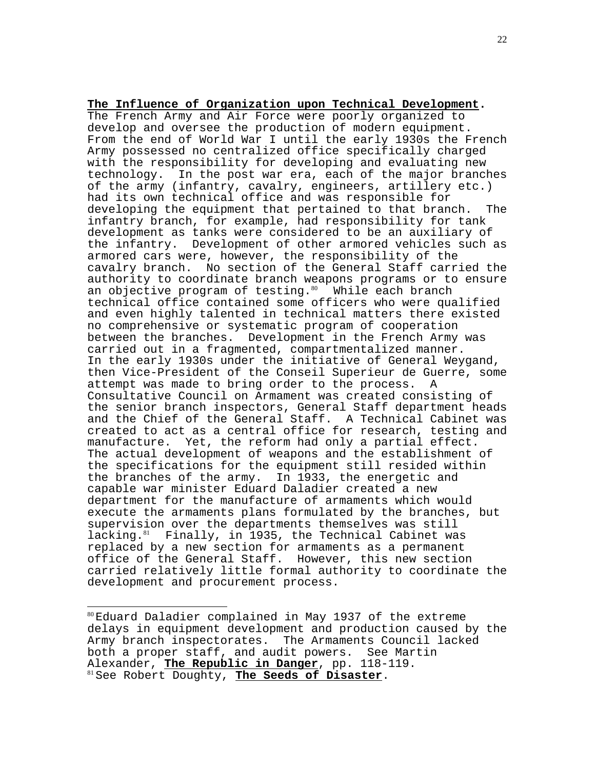## **The Influence of Organization upon Technical Development.**

The French Army and Air Force were poorly organized to develop and oversee the production of modern equipment. From the end of World War I until the early 1930s the French Army possessed no centralized office specifically charged with the responsibility for developing and evaluating new technology. In the post war era, each of the major branches of the army (infantry, cavalry, engineers, artillery etc.) had its own technical office and was responsible for developing the equipment that pertained to that branch. The infantry branch, for example, had responsibility for tank development as tanks were considered to be an auxiliary of the infantry. Development of other armored vehicles such as armored cars were, however, the responsibility of the cavalry branch. No section of the General Staff carried the authority to coordinate branch weapons programs or to ensure an objective program of testing. $80$  While each branch technical office contained some officers who were qualified and even highly talented in technical matters there existed no comprehensive or systematic program of cooperation between the branches. Development in the French Army was carried out in a fragmented, compartmentalized manner. In the early 1930s under the initiative of General Weygand, then Vice-President of the Conseil Superieur de Guerre, some attempt was made to bring order to the process. A Consultative Council on Armament was created consisting of the senior branch inspectors, General Staff department heads and the Chief of the General Staff. A Technical Cabinet was created to act as a central office for research, testing and manufacture. Yet, the reform had only a partial effect. The actual development of weapons and the establishment of the specifications for the equipment still resided within the branches of the army. In 1933, the energetic and capable war minister Eduard Daladier created a new department for the manufacture of armaments which would execute the armaments plans formulated by the branches, but supervision over the departments themselves was still lacking.<sup>81</sup> Finally, in 1935, the Technical Cabinet was replaced by a new section for armaments as a permanent office of the General Staff. However, this new section carried relatively little formal authority to coordinate the development and procurement process.

 $\overline{a}$ 

<sup>80</sup>Eduard Daladier complained in May 1937 of the extreme delays in equipment development and production caused by the Army branch inspectorates. The Armaments Council lacked both a proper staff, and audit powers. See Martin Alexander, <mark>The Republic in Danger</mark>, pp. 118-119.<br><sup>81</sup> See Robert Doughty, **The Seeds of Disaster**.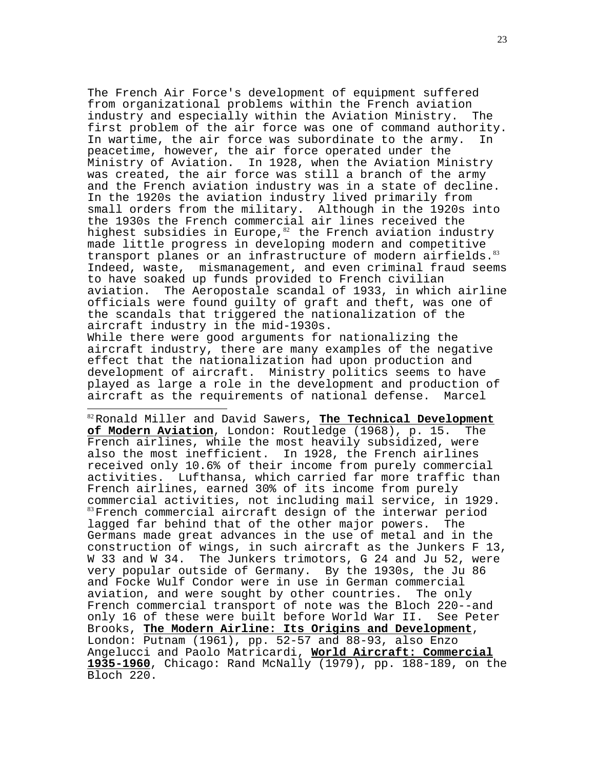The French Air Force's development of equipment suffered from organizational problems within the French aviation industry and especially within the Aviation Ministry. The first problem of the air force was one of command authority. In wartime, the air force was subordinate to the army. In peacetime, however, the air force operated under the Ministry of Aviation. In 1928, when the Aviation Ministry was created, the air force was still a branch of the army and the French aviation industry was in a state of decline. In the 1920s the aviation industry lived primarily from small orders from the military. Although in the 1920s into the 1930s the French commercial air lines received the highest subsidies in Europe, $82$  the French aviation industry made little progress in developing modern and competitive transport planes or an infrastructure of modern airfields.<sup>83</sup> Indeed, waste, mismanagement, and even criminal fraud seems to have soaked up funds provided to French civilian aviation. The Aeropostale scandal of 1933, in which airline officials were found guilty of graft and theft, was one of the scandals that triggered the nationalization of the aircraft industry in the mid-1930s.

While there were good arguments for nationalizing the aircraft industry, there are many examples of the negative effect that the nationalization had upon production and development of aircraft. Ministry politics seems to have played as large a role in the development and production of<br>aircraft as the requirements of national defense. Marcel aircraft as the requirements of national defense.

 $\overline{a}$ 

<sup>82</sup>Ronald Miller and David Sawers, **The Technical Development of Modern Aviation**, London: Routledge (1968), p. 15. The French airlines, while the most heavily subsidized, were also the most inefficient. In 1928, the French airlines received only 10.6% of their income from purely commercial activities. Lufthansa, which carried far more traffic than French airlines, earned 30% of its income from purely commercial activities, not including mail service, in 1929. <sup>83</sup>French commercial aircraft design of the interwar period lagged far behind that of the other major powers. The Germans made great advances in the use of metal and in the construction of wings, in such aircraft as the Junkers F 13, W 33 and W 34. The Junkers trimotors, G 24 and Ju 52, were very popular outside of Germany. By the 1930s, the Ju 86 and Focke Wulf Condor were in use in German commercial aviation, and were sought by other countries. The only French commercial transport of note was the Bloch 220--and only 16 of these were built before World War II. See Peter Brooks, **The Modern Airline: Its Origins and Development**, London: Putnam (1961), pp. 52-57 and 88-93, also Enzo Angelucci and Paolo Matricardi, **World Aircraft: Commercial 1935-1960**, Chicago: Rand McNally (1979), pp. 188-189, on the Bloch 220.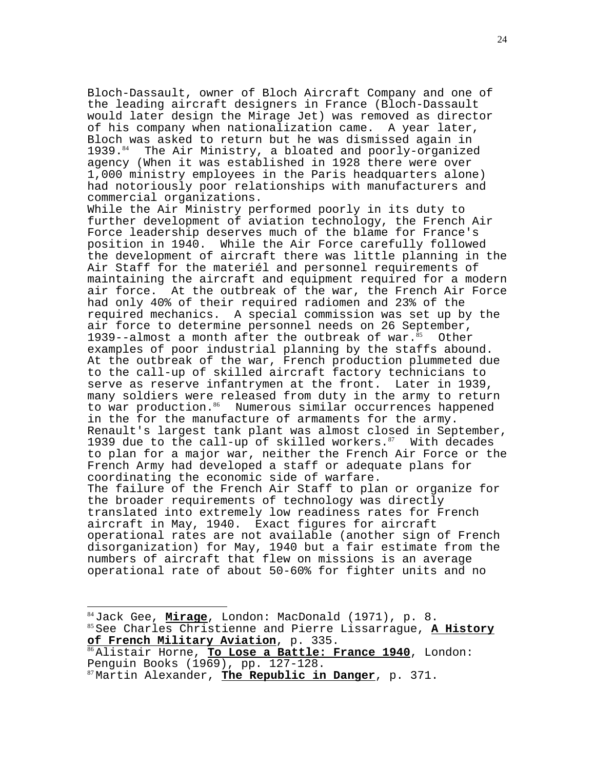Bloch-Dassault, owner of Bloch Aircraft Company and one of the leading aircraft designers in France (Bloch-Dassault would later design the Mirage Jet) was removed as director of his company when nationalization came. A year later, Bloch was asked to return but he was dismissed again in 1939.<sup>84</sup> The Air Ministry, a bloated and poorly-organized agency (When it was established in 1928 there were over 1,000 ministry employees in the Paris headquarters alone) had notoriously poor relationships with manufacturers and commercial organizations.

While the Air Ministry performed poorly in its duty to further development of aviation technology, the French Air Force leadership deserves much of the blame for France's position in 1940. While the Air Force carefully followed the development of aircraft there was little planning in the Air Staff for the materiél and personnel requirements of maintaining the aircraft and equipment required for a modern air force. At the outbreak of the war, the French Air Force had only 40% of their required radiomen and 23% of the required mechanics. A special commission was set up by the air force to determine personnel needs on 26 September, 1939--almost a month after the outbreak of war. $85$  Other examples of poor industrial planning by the staffs abound. At the outbreak of the war, French production plummeted due to the call-up of skilled aircraft factory technicians to serve as reserve infantrymen at the front. Later in 1939, many soldiers were released from duty in the army to return to war production.<sup>86</sup> Numerous similar occurrences happened in the for the manufacture of armaments for the army. Renault's largest tank plant was almost closed in September, 1939 due to the call-up of skilled workers. $87$  With decades to plan for a major war, neither the French Air Force or the French Army had developed a staff or adequate plans for coordinating the economic side of warfare. The failure of the French Air Staff to plan or organize for the broader requirements of technology was directly translated into extremely low readiness rates for French aircraft in May, 1940. Exact figures for aircraft operational rates are not available (another sign of French disorganization) for May, 1940 but a fair estimate from the numbers of aircraft that flew on missions is an average operational rate of about 50-60% for fighter units and no

<sup>84</sup>Jack Gee, <u>Mirage</u>, London: MacDonald (1971), p. 8.<br><sup>85</sup> See Charles Christienne and Pierre Lissarrague, <u>A History</u><br><u>of French Military Aviation</u>, p. 335. **of French Military Aviation**, p. 335. <sup>86</sup>Alistair Horne, **To Lose a Battle: France 1940**, London:

Penguin Books (1969), pp. 127-128. 87 Martin Alexander, **The Republic in Danger**, p. 371.

 $\overline{a}$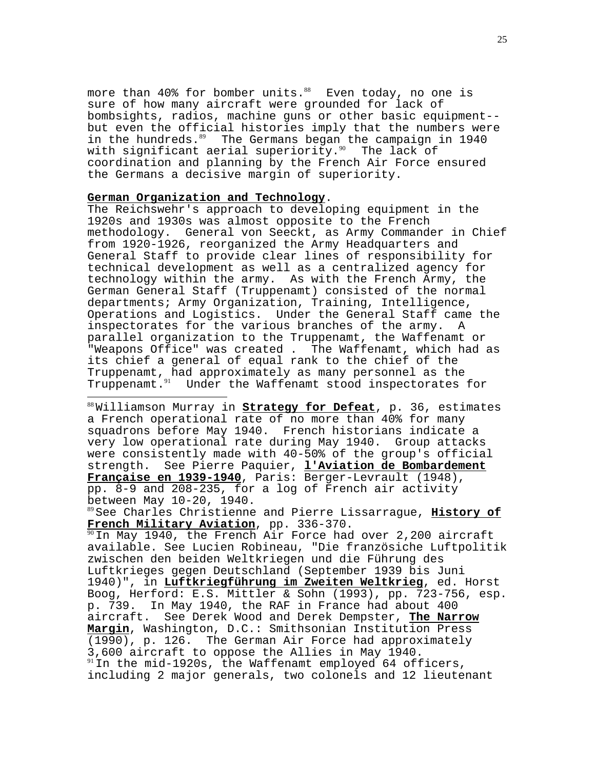more than  $40\%$  for bomber units.<sup>88</sup> Even today, no one is sure of how many aircraft were grounded for lack of bombsights, radios, machine guns or other basic equipment- but even the official histories imply that the numbers were in the hundreds. $89$  The Germans began the campaign in 1940 with significant aerial superiority. $90$  The lack of coordination and planning by the French Air Force ensured the Germans a decisive margin of superiority.

# **German Organization and Technology**.

 $\overline{a}$ 

The Reichswehr's approach to developing equipment in the 1920s and 1930s was almost opposite to the French methodology. General von Seeckt, as Army Commander in Chief from 1920-1926, reorganized the Army Headquarters and General Staff to provide clear lines of responsibility for technical development as well as a centralized agency for technology within the army. As with the French Army, the German General Staff (Truppenamt) consisted of the normal departments; Army Organization, Training, Intelligence, Operations and Logistics. Under the General Staff came the inspectorates for the various branches of the army. A parallel organization to the Truppenamt, the Waffenamt or "Weapons Office" was created . The Waffenamt, which had as its chief a general of equal rank to the chief of the Truppenamt, had approximately as many personnel as the Truppenamt.<sup>91</sup> Under the Waffenamt stood inspectorates for

<sup>88</sup>Williamson Murray in **Strategy for Defeat**, p. 36, estimates a French operational rate of no more than 40% for many squadrons before May 1940. French historians indicate a very low operational rate during May 1940. Group attacks were consistently made with 40-50% of the group's official strength. See Pierre Paquier, **l'Aviation de Bombardement Française en 1939-1940**, Paris: Berger-Levrault (1948), pp. 8-9 and 208-235, for a log of French air activity between May 10-20, 1940.

<sup>89</sup>See Charles Christienne and Pierre Lissarrague, **History of French Military Aviation**, pp. 336-370.

 $90$ In May 1940, the French Air Force had over 2,200 aircraft available. See Lucien Robineau, "Die französiche Luftpolitik zwischen den beiden Weltkriegen und die Führung des Luftkrieges gegen Deutschland (September 1939 bis Juni 1940)", in **Luftkriegführung im Zweiten Weltkrieg**, ed. Horst Boog, Herford: E.S. Mittler & Sohn (1993), pp. 723-756, esp. p. 739. In May 1940, the RAF in France had about 400 aircraft. See Derek Wood and Derek Dempster, **The Narrow Margin**, Washington, D.C.: Smithsonian Institution Press (1990), p. 126. The German Air Force had approximately 3,600 aircraft to oppose the Allies in May 1940.  $91$  In the mid-1920s, the Waffenamt employed 64 officers, including 2 major generals, two colonels and 12 lieutenant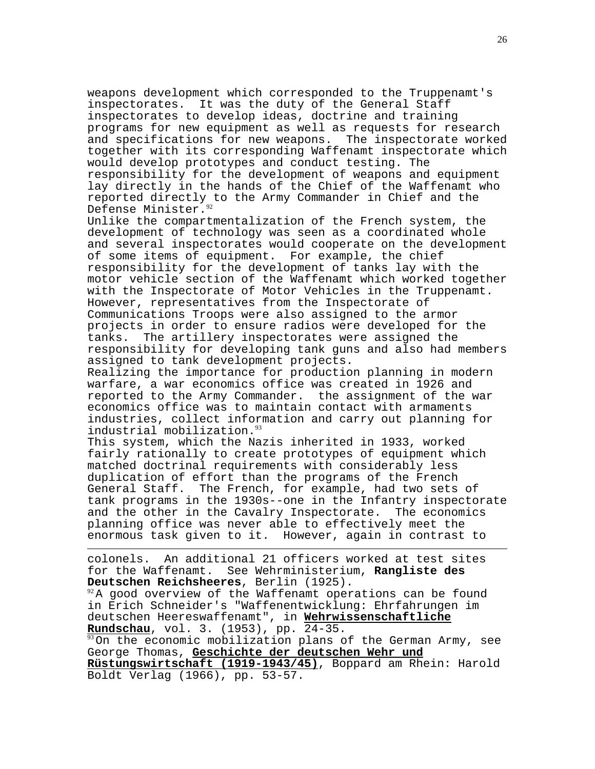weapons development which corresponded to the Truppenamt's inspectorates. It was the duty of the General Staff inspectorates to develop ideas, doctrine and training programs for new equipment as well as requests for research<br>and specifications for new weapons. The inspectorate worked and specifications for new weapons. together with its corresponding Waffenamt inspectorate which would develop prototypes and conduct testing. The responsibility for the development of weapons and equipment lay directly in the hands of the Chief of the Waffenamt who reported directly to the Army Commander in Chief and the Defense Minister.<sup>92</sup>

Unlike the compartmentalization of the French system, the development of technology was seen as a coordinated whole and several inspectorates would cooperate on the development of some items of equipment. For example, the chief responsibility for the development of tanks lay with the motor vehicle section of the Waffenamt which worked together with the Inspectorate of Motor Vehicles in the Truppenamt. However, representatives from the Inspectorate of Communications Troops were also assigned to the armor projects in order to ensure radios were developed for the tanks. The artillery inspectorates were assigned the responsibility for developing tank guns and also had members assigned to tank development projects.

Realizing the importance for production planning in modern warfare, a war economics office was created in 1926 and reported to the Army Commander. the assignment of the war economics office was to maintain contact with armaments industries, collect information and carry out planning for industrial mobilization.<sup>93</sup>

This system, which the Nazis inherited in 1933, worked fairly rationally to create prototypes of equipment which matched doctrinal requirements with considerably less duplication of effort than the programs of the French General Staff. The French, for example, had two sets of tank programs in the 1930s--one in the Infantry inspectorate and the other in the Cavalry Inspectorate. The economics planning office was never able to effectively meet the enormous task given to it. However, again in contrast to

colonels. An additional 21 officers worked at test sites for the Waffenamt. See Wehrministerium, **Rangliste des Deutschen Reichsheeres**, Berlin (1925).

 $\overline{a}$ 

 $92A$  good overview of the Waffenamt operations can be found in Erich Schneider's "Waffenentwicklung: Ehrfahrungen im deutschen Heereswaffenamt", in **Wehrwissenschaftliche Rundschau**, vol. 3. (1953), pp. 24-35.

 $93$ On the economic mobilization plans of the German Army, see George Thomas, **Geschichte der deutschen Wehr und**

**Rüstungswirtschaft (1919-1943/45)**, Boppard am Rhein: Harold Boldt Verlag (1966), pp. 53-57.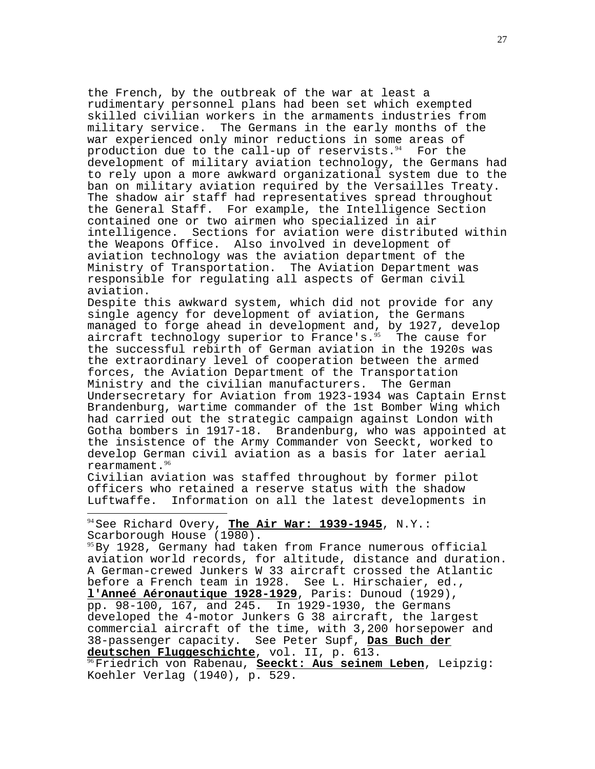the French, by the outbreak of the war at least a rudimentary personnel plans had been set which exempted skilled civilian workers in the armaments industries from military service. The Germans in the early months of the war experienced only minor reductions in some areas of production due to the call-up of reservists. $94$  For the development of military aviation technology, the Germans had to rely upon a more awkward organizational system due to the ban on military aviation required by the Versailles Treaty. The shadow air staff had representatives spread throughout the General Staff. For example, the Intelligence Section contained one or two airmen who specialized in air intelligence. Sections for aviation were distributed within the Weapons Office. Also involved in development of aviation technology was the aviation department of the Ministry of Transportation. The Aviation Department was responsible for regulating all aspects of German civil aviation.

Despite this awkward system, which did not provide for any single agency for development of aviation, the Germans managed to forge ahead in development and, by 1927, develop aircraft technology superior to France's. $95$  The cause for the successful rebirth of German aviation in the 1920s was the extraordinary level of cooperation between the armed forces, the Aviation Department of the Transportation Ministry and the civilian manufacturers. The German Undersecretary for Aviation from 1923-1934 was Captain Ernst Brandenburg, wartime commander of the 1st Bomber Wing which had carried out the strategic campaign against London with Gotha bombers in 1917-18. Brandenburg, who was appointed at the insistence of the Army Commander von Seeckt, worked to develop German civil aviation as a basis for later aerial rearmament.<sup>96</sup>

Civilian aviation was staffed throughout by former pilot officers who retained a reserve status with the shadow Luftwaffe. Information on all the latest developments in

<sup>94</sup>See Richard Overy, **The Air War: 1939-1945**, N.Y.: Scarborough House (1980).

 $\overline{a}$ 

 $95$ By 1928, Germany had taken from France numerous official aviation world records, for altitude, distance and duration. A German-crewed Junkers W 33 aircraft crossed the Atlantic before a French team in 1928. See L. Hirschaier, ed., **l'Anneé Aéronautique 1928-1929**, Paris: Dunoud (1929), pp. 98-100, 167, and 245. In 1929-1930, the Germans developed the 4-motor Junkers G 38 aircraft, the largest commercial aircraft of the time, with 3,200 horsepower and 38-passenger capacity. See Peter Supf, **Das Buch der**

**deutschen Fluggeschichte**, vol. II, p. 613. <sup>96</sup>Friedrich von Rabenau, **Seeckt: Aus seinem Leben**, Leipzig: Koehler Verlag (1940), p. 529.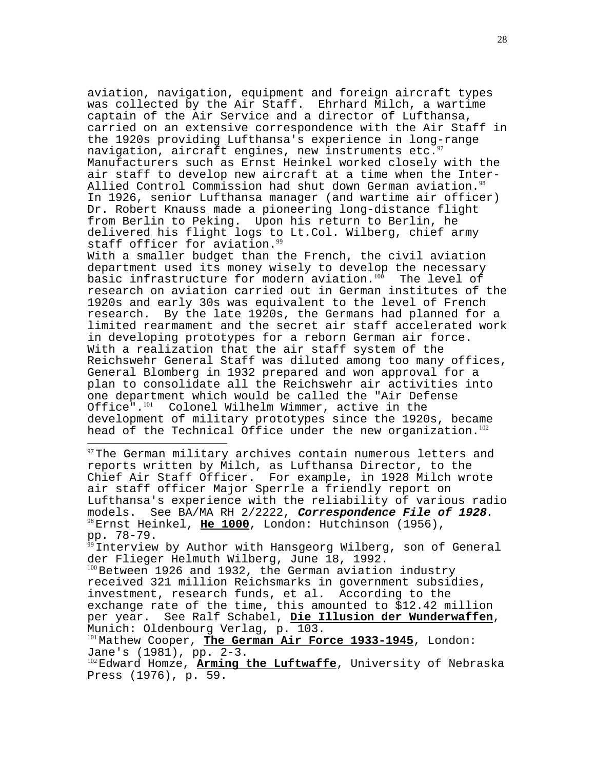aviation, navigation, equipment and foreign aircraft types was collected by the Air Staff. Ehrhard Milch, a wartime captain of the Air Service and a director of Lufthansa, carried on an extensive correspondence with the Air Staff in the 1920s providing Lufthansa's experience in long-range navigation, aircraft engines, new instruments etc.  $97$ Manufacturers such as Ernst Heinkel worked closely with the air staff to develop new aircraft at a time when the Inter-Allied Control Commission had shut down German aviation.<sup>98</sup> In 1926, senior Lufthansa manager (and wartime air officer) Dr. Robert Knauss made a pioneering long-distance flight from Berlin to Peking. Upon his return to Berlin, he delivered his flight logs to Lt.Col. Wilberg, chief army staff officer for aviation.<sup>99</sup>

With a smaller budget than the French, the civil aviation department used its money wisely to develop the necessary basic infrastructure for modern aviation. $100$  The level of research on aviation carried out in German institutes of the 1920s and early 30s was equivalent to the level of French research. By the late 1920s, the Germans had planned for a limited rearmament and the secret air staff accelerated work in developing prototypes for a reborn German air force. With a realization that the air staff system of the Reichswehr General Staff was diluted among too many offices, General Blomberg in 1932 prepared and won approval for a plan to consolidate all the Reichswehr air activities into one department which would be called the "Air Defense Office". $101$  Colonel Wilhelm Wimmer, active in the development of military prototypes since the 1920s, became head of the Technical Office under the new organization.<sup>102</sup>

 $97$ The German military archives contain numerous letters and reports written by Milch, as Lufthansa Director, to the Chief Air Staff Officer. For example, in 1928 Milch wrote air staff officer Major Sperrle a friendly report on Lufthansa's experience with the reliability of various radio models. See BA/MA RH 2/2222, *Correspondence File of 1928*.<br><sup>98</sup>Ernst Heinkel, **He 1000**, London: Hutchinson (1956), pp. 78-79.

 $\overline{a}$ 

 $99$ Interview by Author with Hansgeorg Wilberg, son of General der Flieger Helmuth Wilberg, June 18, 1992. <sup>100</sup> Between 1926 and 1932, the German aviation industry received 321 million Reichsmarks in government subsidies, investment, research funds, et al. According to the exchange rate of the time, this amounted to \$12.42 million per year. See Ralf Schabel, **Die Illusion der Wunderwaffen**, Munich: Oldenbourg Verlag, p. 103. 101 Mathew Cooper, The German Air Force 1933-1945, London: Jane's (1981), pp. 2-3.

<sup>102</sup>Edward Homze, **Arming the Luftwaffe**, University of Nebraska Press (1976), p. 59.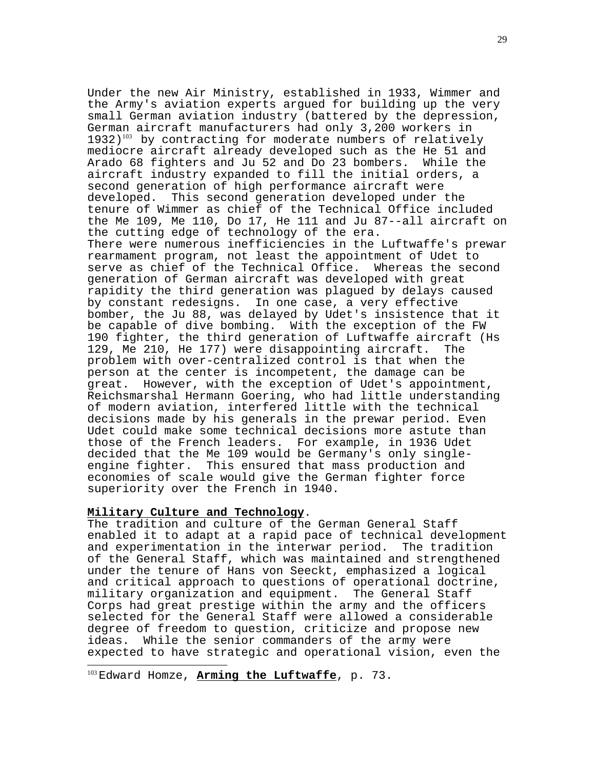Under the new Air Ministry, established in 1933, Wimmer and the Army's aviation experts argued for building up the very small German aviation industry (battered by the depression, German aircraft manufacturers had only 3,200 workers in  $1932)$ <sup>103</sup> by contracting for moderate numbers of relatively mediocre aircraft already developed such as the He 51 and Arado 68 fighters and Ju 52 and Do 23 bombers. While the aircraft industry expanded to fill the initial orders, a second generation of high performance aircraft were developed. This second generation developed under the tenure of Wimmer as chief of the Technical Office included the Me 109, Me 110, Do 17, He 111 and Ju 87--all aircraft on the cutting edge of technology of the era. There were numerous inefficiencies in the Luftwaffe's prewar rearmament program, not least the appointment of Udet to serve as chief of the Technical Office. Whereas the second generation of German aircraft was developed with great rapidity the third generation was plagued by delays caused by constant redesigns. In one case, a very effective bomber, the Ju 88, was delayed by Udet's insistence that it be capable of dive bombing. With the exception of the FW 190 fighter, the third generation of Luftwaffe aircraft (Hs 129, Me 210, He 177) were disappointing aircraft. The problem with over-centralized control is that when the person at the center is incompetent, the damage can be great. However, with the exception of Udet's appointment, Reichsmarshal Hermann Goering, who had little understanding of modern aviation, interfered little with the technical decisions made by his generals in the prewar period. Even Udet could make some technical decisions more astute than those of the French leaders. For example, in 1936 Udet decided that the Me 109 would be Germany's only singleengine fighter. This ensured that mass production and economies of scale would give the German fighter force superiority over the French in 1940.

 $\overline{a}$ 

**Military Culture and Technology**. The tradition and culture of the German General Staff enabled it to adapt at a rapid pace of technical development and experimentation in the interwar period. The tradition of the General Staff, which was maintained and strengthened under the tenure of Hans von Seeckt, emphasized a logical and critical approach to questions of operational doctrine, military organization and equipment. The General Staff Corps had great prestige within the army and the officers selected for the General Staff were allowed a considerable degree of freedom to question, criticize and propose new ideas. While the senior commanders of the army were expected to have strategic and operational vision, even the

<sup>103</sup> Edward Homze, **Arming the Luftwaffe**, p. 73.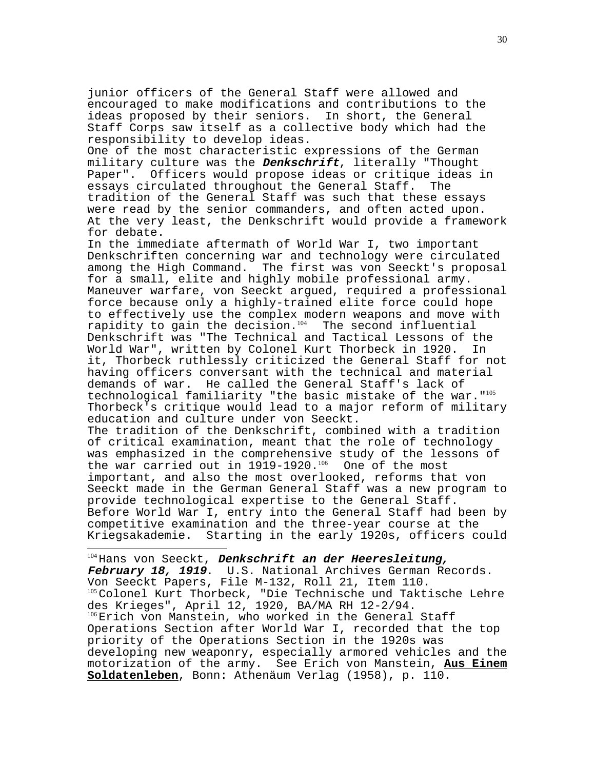junior officers of the General Staff were allowed and encouraged to make modifications and contributions to the ideas proposed by their seniors. In short, the General Staff Corps saw itself as a collective body which had the responsibility to develop ideas.

One of the most characteristic expressions of the German military culture was the **Denkschrift**, literally "Thought Paper". Officers would propose ideas or critique ideas in essays circulated throughout the General Staff. The tradition of the General Staff was such that these essays were read by the senior commanders, and often acted upon. At the very least, the Denkschrift would provide a framework for debate.

In the immediate aftermath of World War I, two important Denkschriften concerning war and technology were circulated among the High Command. The first was von Seeckt's proposal for a small, elite and highly mobile professional army. Maneuver warfare, von Seeckt argued, required a professional force because only a highly-trained elite force could hope to effectively use the complex modern weapons and move with rapidity to gain the decision. $104$  The second influential Denkschrift was "The Technical and Tactical Lessons of the<br>World War", written by Colonel Kurt Thorbeck in 1920. Th World War", written by Colonel Kurt Thorbeck in 1920. it, Thorbeck ruthlessly criticized the General Staff for not having officers conversant with the technical and material demands of war. He called the General Staff's lack of technological familiarity "the basic mistake of the war."<sup>105</sup> Thorbeck's critique would lead to a major reform of military education and culture under von Seeckt. The tradition of the Denkschrift, combined with a tradition of critical examination, meant that the role of technology

was emphasized in the comprehensive study of the lessons of the war carried out in  $1919-1920$ .<sup>106</sup> One of the most important, and also the most overlooked, reforms that von Seeckt made in the German General Staff was a new program to provide technological expertise to the General Staff. Before World War I, entry into the General Staff had been by competitive examination and the three-year course at the Kriegsakademie. Starting in the early 1920s, officers could

 $\overline{a}$ 

<sup>104</sup>Hans von Seeckt, **Denkschrift an der Heeresleitung, February 18, 1919**. U.S. National Archives German Records. Von Seeckt Papers, File M-132, Roll 21, Item 110. <sup>105</sup> Colonel Kurt Thorbeck, "Die Technische und Taktische Lehre des Krieges", April 12, 1920, BA/MA RH 12-2/94. <sup>106</sup>Erich von Manstein, who worked in the General Staff Operations Section after World War I, recorded that the top priority of the Operations Section in the 1920s was developing new weaponry, especially armored vehicles and the motorization of the army. See Erich von Manstein, **Aus Einem Soldatenleben**, Bonn: Athenäum Verlag (1958), p. 110.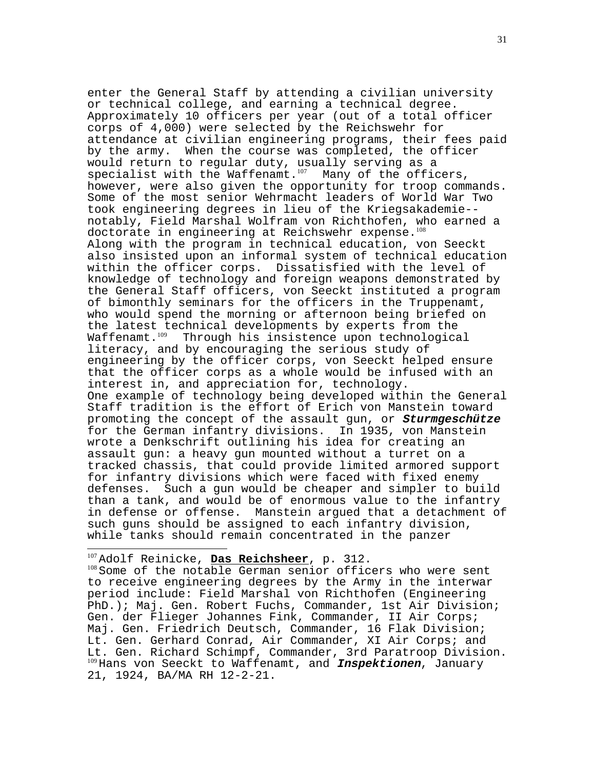enter the General Staff by attending a civilian university or technical college, and earning a technical degree. Approximately 10 officers per year (out of a total officer corps of 4,000) were selected by the Reichswehr for attendance at civilian engineering programs, their fees paid by the army. When the course was completed, the officer would return to regular duty, usually serving as a specialist with the Waffenamt.<sup>107</sup> Many of the officers, however, were also given the opportunity for troop commands. Some of the most senior Wehrmacht leaders of World War Two took engineering degrees in lieu of the Kriegsakademie- notably, Field Marshal Wolfram von Richthofen, who earned a doctorate in engineering at Reichswehr expense.<sup>108</sup> Along with the program in technical education, von Seeckt also insisted upon an informal system of technical education within the officer corps. Dissatisfied with the level of knowledge of technology and foreign weapons demonstrated by the General Staff officers, von Seeckt instituted a program of bimonthly seminars for the officers in the Truppenamt, who would spend the morning or afternoon being briefed on the latest technical developments by experts from the<br>Waffenamt.<sup>109</sup> Through his insistence upon technologica Through his insistence upon technological literacy, and by encouraging the serious study of engineering by the officer corps, von Seeckt helped ensure that the officer corps as a whole would be infused with an interest in, and appreciation for, technology. One example of technology being developed within the General Staff tradition is the effort of Erich von Manstein toward promoting the concept of the assault gun, or **Sturmgeschütze** for the German infantry divisions. In 1935, von Manstein wrote a Denkschrift outlining his idea for creating an assault gun: a heavy gun mounted without a turret on a tracked chassis, that could provide limited armored support for infantry divisions which were faced with fixed enemy defenses. Such a gun would be cheaper and simpler to build than a tank, and would be of enormous value to the infantry in defense or offense. Manstein argued that a detachment of such guns should be assigned to each infantry division, while tanks should remain concentrated in the panzer

<sup>107</sup>Adolf Reinicke, Das Reichsheer, p. 312.<br><sup>108</sup>Some of the notable German senior officers who were sent to receive engineering degrees by the Army in the interwar period include: Field Marshal von Richthofen (Engineering PhD.); Maj. Gen. Robert Fuchs, Commander, 1st Air Division; Gen. der Flieger Johannes Fink, Commander, II Air Corps; Maj. Gen. Friedrich Deutsch, Commander, 16 Flak Division; Lt. Gen. Gerhard Conrad, Air Commander, XI Air Corps; and Lt. Gen. Richard Schimpf, Commander, 3rd Paratroop Division. <sup>109</sup>Hans von Seeckt to Waffenamt, and **Inspektionen**, January 21, 1924, BA/MA RH 12-2-21.

 $\overline{a}$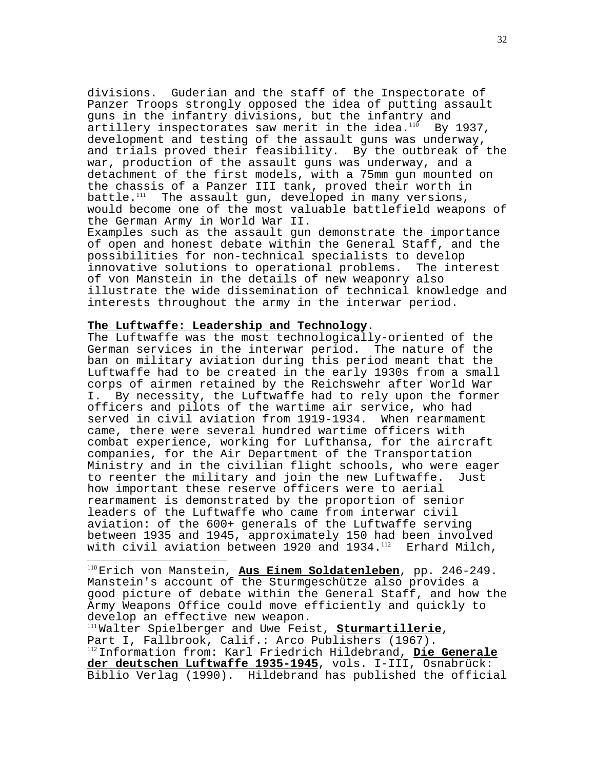divisions. Guderian and the staff of the Inspectorate of Panzer Troops strongly opposed the idea of putting assault guns in the infantry divisions, but the infantry and artillery inspectorates saw merit in the idea. $100$  By 1937, development and testing of the assault guns was underway, and trials proved their feasibility. By the outbreak of the war, production of the assault guns was underway, and a detachment of the first models, with a 75mm gun mounted on the chassis of a Panzer III tank, proved their worth in battle.<sup>111</sup> The assault gun, developed in many versions, would become one of the most valuable battlefield weapons of the German Army in World War II.

Examples such as the assault gun demonstrate the importance of open and honest debate within the General Staff, and the possibilities for non-technical specialists to develop innovative solutions to operational problems. The interest of von Manstein in the details of new weaponry also illustrate the wide dissemination of technical knowledge and interests throughout the army in the interwar period.

 $\overline{a}$ 

**The Luftwaffe: Leadership and Technology**. The Luftwaffe was the most technologically-oriented of the German services in the interwar period. The nature of the ban on military aviation during this period meant that the Luftwaffe had to be created in the early 1930s from a small corps of airmen retained by the Reichswehr after World War I. By necessity, the Luftwaffe had to rely upon the former officers and pilots of the wartime air service, who had served in civil aviation from 1919-1934. When rearmament came, there were several hundred wartime officers with combat experience, working for Lufthansa, for the aircraft companies, for the Air Department of the Transportation Ministry and in the civilian flight schools, who were eager to reenter the military and join the new Luftwaffe. Just how important these reserve officers were to aerial rearmament is demonstrated by the proportion of senior leaders of the Luftwaffe who came from interwar civil aviation: of the 600+ generals of the Luftwaffe serving between 1935 and 1945, approximately 150 had been involved with civil aviation between 1920 and  $1934$ .<sup>112</sup> Erhard Milch,

<sup>110</sup>Erich von Manstein, **Aus Einem Soldatenleben**, pp. 246-249. Manstein's account of the Sturmgeschütze also provides a good picture of debate within the General Staff, and how the Army Weapons Office could move efficiently and quickly to develop an effective new weapon.<br>"Walter Spielberger and Uwe Feist, Sturmartillerie,

Part I, Fallbrook, Calif.: Arco Publishers (1967). <sup>112</sup>Information from: Karl Friedrich Hildebrand, **Die Generale der deutschen Luftwaffe 1935-1945**, vols. I-III, Osnabrück: Biblio Verlag (1990). Hildebrand has published the official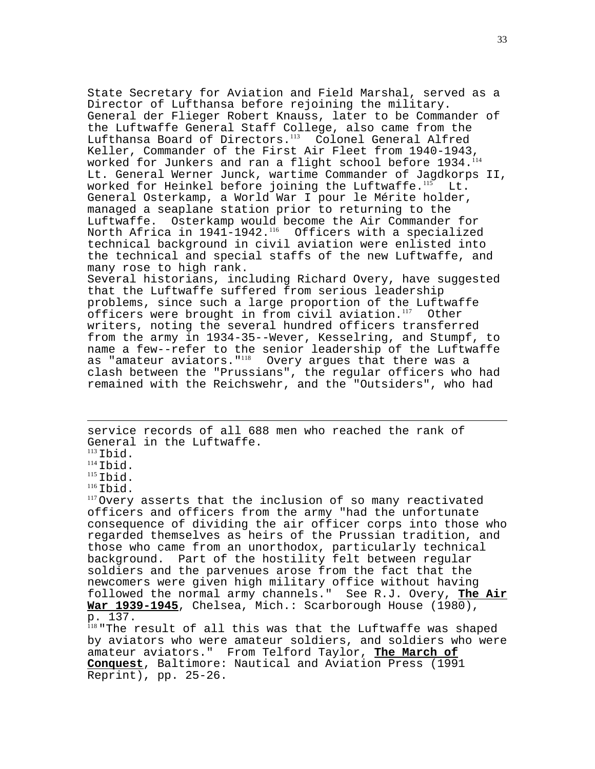State Secretary for Aviation and Field Marshal, served as a Director of Lufthansa before rejoining the military. General der Flieger Robert Knauss, later to be Commander of the Luftwaffe General Staff College, also came from the Lufthansa Board of Directors.<sup>113</sup> Colonel General Alfred Keller, Commander of the First Air Fleet from 1940-1943, worked for Junkers and ran a flight school before 1934.<sup>114</sup> Lt. General Werner Junck, wartime Commander of Jagdkorps II, worked for Heinkel before joining the Luftwaffe.<sup>115</sup> Lt. General Osterkamp, a World War I pour le Mérite holder, managed a seaplane station prior to returning to the Luftwaffe. Osterkamp would become the Air Commander for North Africa in  $1941-1942$ .<sup>116</sup> Officers with a specialized technical background in civil aviation were enlisted into the technical and special staffs of the new Luftwaffe, and many rose to high rank. Several historians, including Richard Overy, have suggested that the Luftwaffe suffered from serious leadership problems, since such a large proportion of the Luftwaffe officers were brought in from civil aviation. $117$  Other writers, noting the several hundred officers transferred from the army in 1934-35--Wever, Kesselring, and Stumpf, to name a few--refer to the senior leadership of the Luftwaffe as "amateur aviators." $118$  Overy arques that there was a clash between the "Prussians", the regular officers who had remained with the Reichswehr, and the "Outsiders", who had

 $\overline{a}$ service records of all 688 men who reached the rank of General in the Luftwaffe.<br>
<sup>113</sup>Tbid.

114Ibid.<br><sup>115</sup>Ibid.<br><sup>116</sup>Ibid.<br><sup>117</sup>Overy asserts that the inclusion of so many reactivated officers and officers from the army "had the unfortunate consequence of dividing the air officer corps into those who regarded themselves as heirs of the Prussian tradition, and those who came from an unorthodox, particularly technical background. Part of the hostility felt between regular soldiers and the parvenues arose from the fact that the newcomers were given high military office without having followed the normal army channels." See R.J. Overy, **The Air War 1939-1945**, Chelsea, Mich.: Scarborough House (1980), p. 137.

<sup>118</sup> "The result of all this was that the Luftwaffe was shaped by aviators who were amateur soldiers, and soldiers who were amateur aviators." From Telford Taylor, **The March of Conquest**, Baltimore: Nautical and Aviation Press (1991 Reprint), pp. 25-26.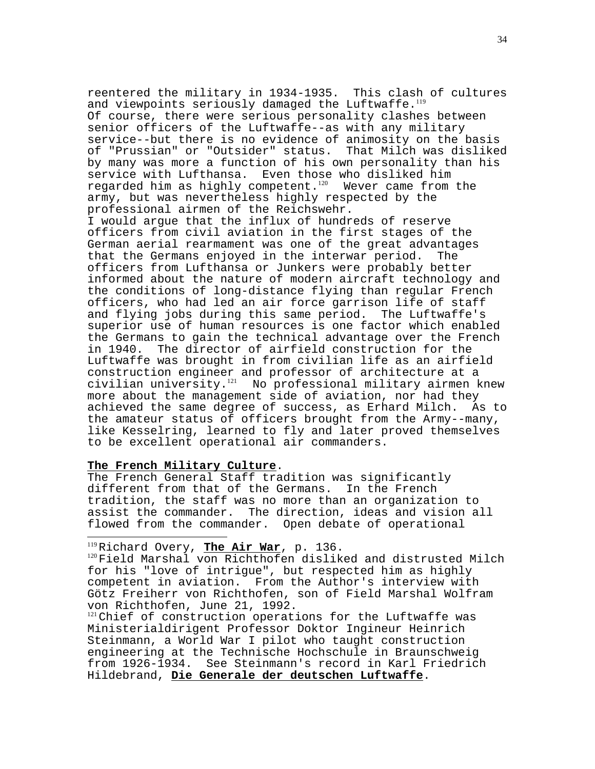reentered the military in 1934-1935. This clash of cultures and viewpoints seriously damaged the Luftwaffe.<sup>119</sup> Of course, there were serious personality clashes between senior officers of the Luftwaffe--as with any military service--but there is no evidence of animosity on the basis of "Prussian" or "Outsider" status. That Milch was disliked by many was more a function of his own personality than his service with Lufthansa. Even those who disliked him regarded him as highly competent. $120$  Wever came from the army, but was nevertheless highly respected by the professional airmen of the Reichswehr.

I would argue that the influx of hundreds of reserve officers from civil aviation in the first stages of the German aerial rearmament was one of the great advantages that the Germans enjoyed in the interwar period. The officers from Lufthansa or Junkers were probably better informed about the nature of modern aircraft technology and the conditions of long-distance flying than regular French officers, who had led an air force garrison life of staff and flying jobs during this same period. The Luftwaffe's superior use of human resources is one factor which enabled the Germans to gain the technical advantage over the French in 1940. The director of airfield construction for the Luftwaffe was brought in from civilian life as an airfield construction engineer and professor of architecture at a civilian university.<sup>121</sup> No professional military airmen knew more about the management side of aviation, nor had they achieved the same degree of success, as Erhard Milch. As to the amateur status of officers brought from the Army--many, like Kesselring, learned to fly and later proved themselves to be excellent operational air commanders.

# **The French Military Culture**.

 $\overline{a}$ 

The French General Staff tradition was significantly different from that of the Germans. In the French tradition, the staff was no more than an organization to assist the commander. The direction, ideas and vision all flowed from the commander. Open debate of operational

<sup>119</sup>Richard Overy, <mark>The Air War</mark>, p. 136.<br><sup>120</sup>Field Marshal von Richthofen disliked and distrusted Milch for his "love of intrigue", but respected him as highly competent in aviation. From the Author's interview with Götz Freiherr von Richthofen, son of Field Marshal Wolfram von Richthofen, June 21, 1992.

 $121$ Chief of construction operations for the Luftwaffe was Ministerialdirigent Professor Doktor Ingineur Heinrich Steinmann, a World War I pilot who taught construction engineering at the Technische Hochschule in Braunschweig from 1926-1934. See Steinmann's record in Karl Friedrich Hildebrand, **Die Generale der deutschen Luftwaffe**.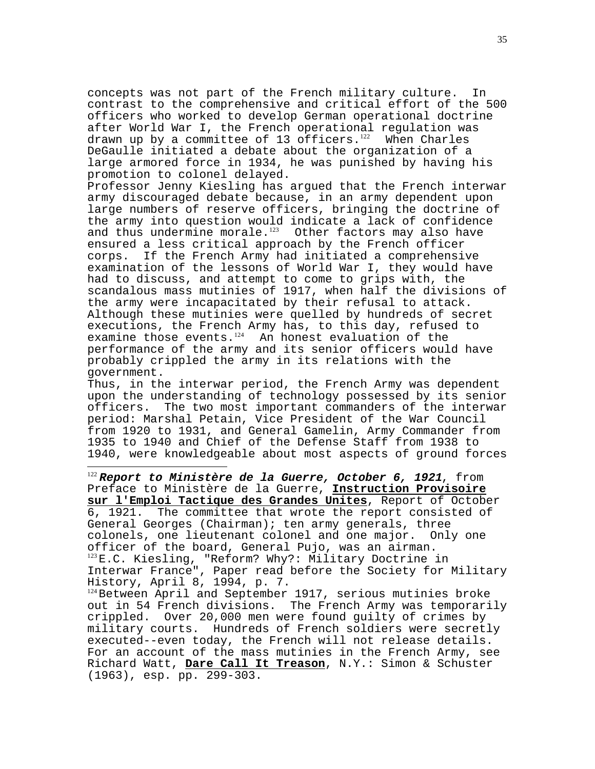concepts was not part of the French military culture. In contrast to the comprehensive and critical effort of the 500 officers who worked to develop German operational doctrine after World War I, the French operational regulation was drawn up by a committee of 13 officers. $122$  When Charles DeGaulle initiated a debate about the organization of a large armored force in 1934, he was punished by having his promotion to colonel delayed.

Professor Jenny Kiesling has argued that the French interwar army discouraged debate because, in an army dependent upon large numbers of reserve officers, bringing the doctrine of the army into question would indicate a lack of confidence and thus undermine morale. $123$  Other factors may also have ensured a less critical approach by the French officer corps. If the French Army had initiated a comprehensive examination of the lessons of World War I, they would have had to discuss, and attempt to come to grips with, the scandalous mass mutinies of 1917, when half the divisions of the army were incapacitated by their refusal to attack. Although these mutinies were quelled by hundreds of secret executions, the French Army has, to this day, refused to examine those events. $124$  An honest evaluation of the performance of the army and its senior officers would have probably crippled the army in its relations with the government.

Thus, in the interwar period, the French Army was dependent upon the understanding of technology possessed by its senior officers. The two most important commanders of the interwar period: Marshal Petain, Vice President of the War Council from 1920 to 1931, and General Gamelin, Army Commander from 1935 to 1940 and Chief of the Defense Staff from 1938 to 1940, were knowledgeable about most aspects of ground forces

 $\overline{a}$ 

<sup>122</sup>**Report to Ministère de la Guerre, October 6, 1921**, from Preface to Ministère de la Guerre, **Instruction Provisoire sur l'Emploi Tactique des Grandes Unites**, Report of October 6, 1921. The committee that wrote the report consisted of General Georges (Chairman); ten army generals, three<br>colonels, one lieutenant colonel and one major. Only one colonels, one lieutenant colonel and one major. officer of the board, General Pujo, was an airman. <sup>123</sup>E.C. Kiesling, "Reform? Why?: Military Doctrine in Interwar France", Paper read before the Society for Military History, April 8, 1994, p. 7.

<sup>124</sup> Between April and September 1917, serious mutinies broke out in 54 French divisions. The French Army was temporarily crippled. Over 20,000 men were found guilty of crimes by military courts. Hundreds of French soldiers were secretly executed--even today, the French will not release details. For an account of the mass mutinies in the French Army, see Richard Watt, **Dare Call It Treason**, N.Y.: Simon & Schuster (1963), esp. pp. 299-303.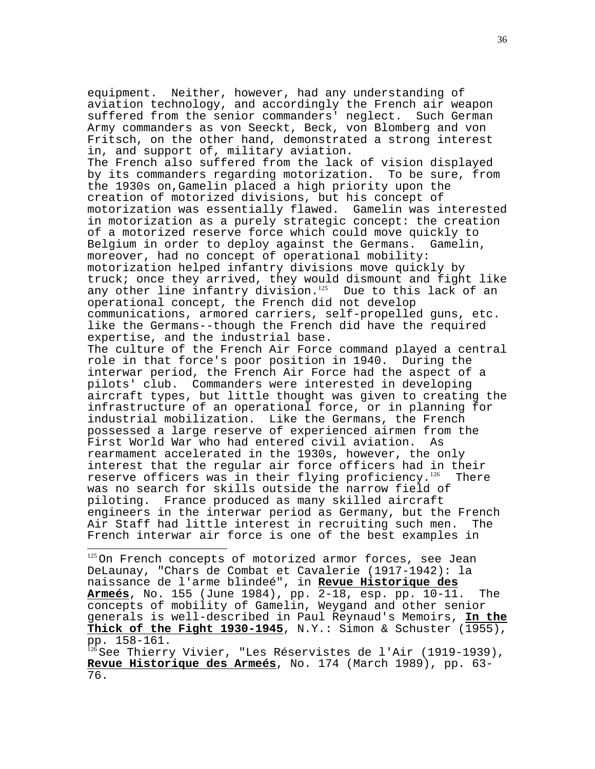equipment. Neither, however, had any understanding of aviation technology, and accordingly the French air weapon suffered from the senior commanders' neglect. Such German Army commanders as von Seeckt, Beck, von Blomberg and von Fritsch, on the other hand, demonstrated a strong interest in, and support of, military aviation. The French also suffered from the lack of vision displayed by its commanders regarding motorization. To be sure, from the 1930s on,Gamelin placed a high priority upon the creation of motorized divisions, but his concept of motorization was essentially flawed. Gamelin was interested in motorization as a purely strategic concept: the creation of a motorized reserve force which could move quickly to Belgium in order to deploy against the Germans. Gamelin, moreover, had no concept of operational mobility: motorization helped infantry divisions move quickly by truck; once they arrived, they would dismount and fight like any other line infantry division.<sup>125</sup> Due to this lack of an operational concept, the French did not develop communications, armored carriers, self-propelled guns, etc. like the Germans--though the French did have the required expertise, and the industrial base. The culture of the French Air Force command played a central role in that force's poor position in 1940. During the interwar period, the French Air Force had the aspect of a pilots' club. Commanders were interested in developing aircraft types, but little thought was given to creating the infrastructure of an operational force, or in planning for industrial mobilization. Like the Germans, the French possessed a large reserve of experienced airmen from the First World War who had entered civil aviation. As rearmament accelerated in the 1930s, however, the only interest that the regular air force officers had in their reserve officers was in their flying proficiency.<sup>126</sup> There was no search for skills outside the narrow field of piloting. France produced as many skilled aircraft engineers in the interwar period as Germany, but the French Air Staff had little interest in recruiting such men. The French interwar air force is one of the best examples in

<sup>125</sup>On French concepts of motorized armor forces, see Jean DeLaunay, "Chars de Combat et Cavalerie (1917-1942): la naissance de l'arme blindeé", in **Revue Historique des Armeés**, No. 155 (June 1984), pp. 2-18, esp. pp. 10-11. The concepts of mobility of Gamelin, Weygand and other senior generals is well-described in Paul Reynaud's Memoirs, **In the Thick of the Fight 1930-1945**, N.Y.: Simon & Schuster (1955), pp. 158-161.

 $\overline{a}$ 

<sup>126</sup>See Thierry Vivier, "Les Réservistes de l'Air (1919-1939), **Revue Historique des Armeés**, No. 174 (March 1989), pp. 63- 76.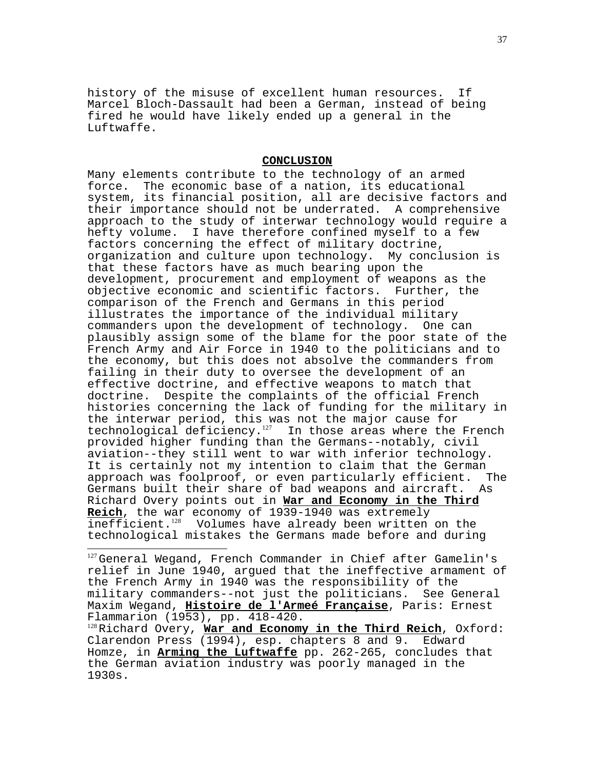history of the misuse of excellent human resources. If Marcel Bloch-Dassault had been a German, instead of being fired he would have likely ended up a general in the Luftwaffe.

# **CONCLUSION**

Many elements contribute to the technology of an armed force. The economic base of a nation, its educational system, its financial position, all are decisive factors and their importance should not be underrated. A comprehensive approach to the study of interwar technology would require a hefty volume. I have therefore confined myself to a few factors concerning the effect of military doctrine, organization and culture upon technology. My conclusion is that these factors have as much bearing upon the development, procurement and employment of weapons as the objective economic and scientific factors. Further, the comparison of the French and Germans in this period illustrates the importance of the individual military commanders upon the development of technology. One can plausibly assign some of the blame for the poor state of the French Army and Air Force in 1940 to the politicians and to the economy, but this does not absolve the commanders from failing in their duty to oversee the development of an effective doctrine, and effective weapons to match that doctrine. Despite the complaints of the official French histories concerning the lack of funding for the military in the interwar period, this was not the major cause for technological deficiency.<sup>127</sup> In those areas where the French provided higher funding than the Germans--notably, civil aviation--they still went to war with inferior technology. It is certainly not my intention to claim that the German approach was foolproof, or even particularly efficient. The Germans built their share of bad weapons and aircraft. As Richard Overy points out in **War and Economy in the Third Reich**, the war economy of 1939-1940 was extremely inefficient.<sup>128</sup> Volumes have already been written on the technological mistakes the Germans made before and during

<sup>127</sup>General Wegand, French Commander in Chief after Gamelin's relief in June 1940, argued that the ineffective armament of the French Army in 1940 was the responsibility of the military commanders--not just the politicians. See General Maxim Wegand, **Histoire de l'Armeé Française**, Paris: Ernest Flammarion (1953), pp. 418-420.

 $\overline{a}$ 

<sup>128</sup>Richard Overy, **War and Economy in the Third Reich**, Oxford: Clarendon Press (1994), esp. chapters 8 and 9. Edward Homze, in **Arming the Luftwaffe** pp. 262-265, concludes that the German aviation industry was poorly managed in the 1930s.